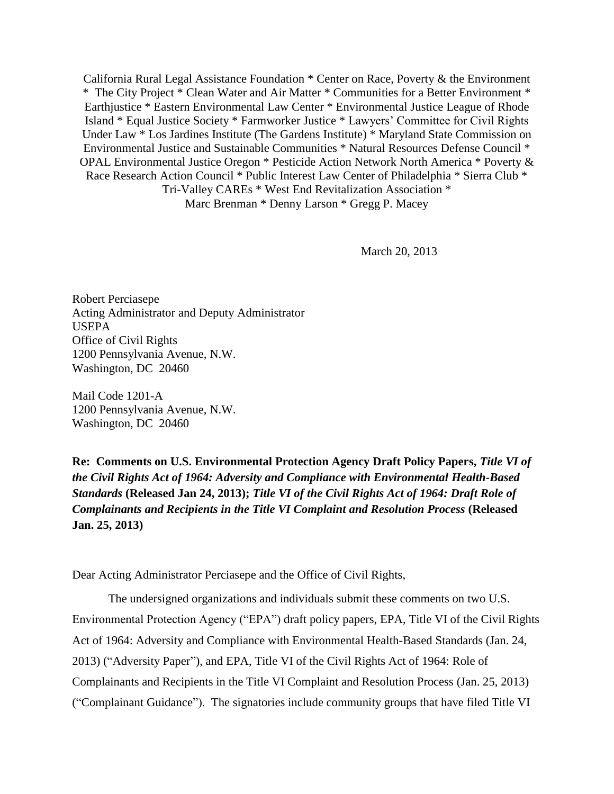California Rural Legal Assistance Foundation \* Center on Race, Poverty & the Environment \* The City Project \* Clean Water and Air Matter \* Communities for a Better Environment \* Earthjustice \* Eastern Environmental Law Center \* Environmental Justice League of Rhode Island \* Equal Justice Society \* Farmworker Justice \* Lawyers' Committee for Civil Rights Under Law \* Los Jardines Institute (The Gardens Institute) \* Maryland State Commission on Environmental Justice and Sustainable Communities \* Natural Resources Defense Council \* OPAL Environmental Justice Oregon \* Pesticide Action Network North America \* Poverty & Race Research Action Council \* Public Interest Law Center of Philadelphia \* Sierra Club \* Tri-Valley CAREs \* West End Revitalization Association \* Marc Brenman \* Denny Larson \* Gregg P. Macey

March 20, 2013

Robert Perciasepe Acting Administrator and Deputy Administrator USEPA Office of Civil Rights 1200 Pennsylvania Avenue, N.W. Washington, DC 20460

Mail Code 1201-A 1200 Pennsylvania Avenue, N.W. Washington, DC 20460

**Re: Comments on U.S. Environmental Protection Agency Draft Policy Papers,** *Title VI of the Civil Rights Act of 1964: Adversity and Compliance with Environmental Health-Based Standards* **(Released Jan 24, 2013);** *Title VI of the Civil Rights Act of 1964: Draft Role of Complainants and Recipients in the Title VI Complaint and Resolution Process* **(Released Jan. 25, 2013)**

Dear Acting Administrator Perciasepe and the Office of Civil Rights,

The undersigned organizations and individuals submit these comments on two U.S. Environmental Protection Agency ("EPA") draft policy papers, EPA, Title VI of the Civil Rights Act of 1964: Adversity and Compliance with Environmental Health-Based Standards (Jan. 24, 2013) ("Adversity Paper"), and EPA, Title VI of the Civil Rights Act of 1964: Role of Complainants and Recipients in the Title VI Complaint and Resolution Process (Jan. 25, 2013) (―Complainant Guidance‖). The signatories include community groups that have filed Title VI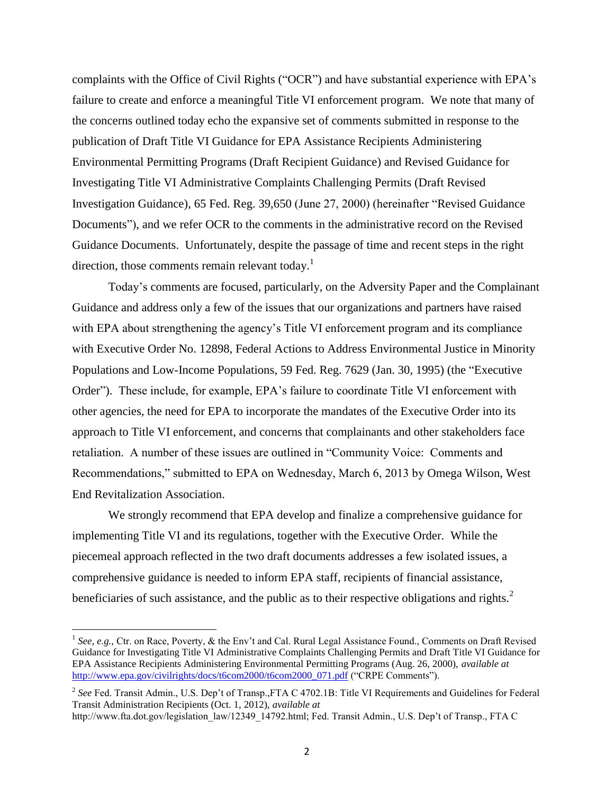complaints with the Office of Civil Rights ("OCR") and have substantial experience with EPA's failure to create and enforce a meaningful Title VI enforcement program. We note that many of the concerns outlined today echo the expansive set of comments submitted in response to the publication of Draft Title VI Guidance for EPA Assistance Recipients Administering Environmental Permitting Programs (Draft Recipient Guidance) and Revised Guidance for Investigating Title VI Administrative Complaints Challenging Permits (Draft Revised Investigation Guidance), 65 Fed. Reg. 39,650 (June 27, 2000) (hereinafter "Revised Guidance Documents"), and we refer OCR to the comments in the administrative record on the Revised Guidance Documents. Unfortunately, despite the passage of time and recent steps in the right direction, those comments remain relevant today.<sup>1</sup>

Today's comments are focused, particularly, on the Adversity Paper and the Complainant Guidance and address only a few of the issues that our organizations and partners have raised with EPA about strengthening the agency's Title VI enforcement program and its compliance with Executive Order No. 12898, Federal Actions to Address Environmental Justice in Minority Populations and Low-Income Populations, 59 Fed. Reg. 7629 (Jan. 30, 1995) (the "Executive" Order"). These include, for example, EPA's failure to coordinate Title VI enforcement with other agencies, the need for EPA to incorporate the mandates of the Executive Order into its approach to Title VI enforcement, and concerns that complainants and other stakeholders face retaliation. A number of these issues are outlined in "Community Voice: Comments and Recommendations," submitted to EPA on Wednesday, March 6, 2013 by Omega Wilson, West End Revitalization Association.

We strongly recommend that EPA develop and finalize a comprehensive guidance for implementing Title VI and its regulations, together with the Executive Order. While the piecemeal approach reflected in the two draft documents addresses a few isolated issues, a comprehensive guidance is needed to inform EPA staff, recipients of financial assistance, beneficiaries of such assistance, and the public as to their respective obligations and rights. $2^2$ 

<sup>&</sup>lt;sup>1</sup> See, e.g., Ctr. on Race, Poverty, & the Env't and Cal. Rural Legal Assistance Found., Comments on Draft Revised Guidance for Investigating Title VI Administrative Complaints Challenging Permits and Draft Title VI Guidance for EPA Assistance Recipients Administering Environmental Permitting Programs (Aug. 26, 2000), *available at*  [http://www.epa.gov/civilrights/docs/t6com2000/t6com2000\\_071.pdf](http://www.epa.gov/civilrights/docs/t6com2000/t6com2000_071.pdf) ("CRPE Comments").

<sup>&</sup>lt;sup>2</sup> See Fed. Transit Admin., U.S. Dep't of Transp., FTA C 4702.1B: Title VI Requirements and Guidelines for Federal Transit Administration Recipients (Oct. 1, 2012), *available at* 

http://www.fta.dot.gov/legislation\_law/12349\_14792.html; Fed. Transit Admin., U.S. Dep't of Transp., FTA C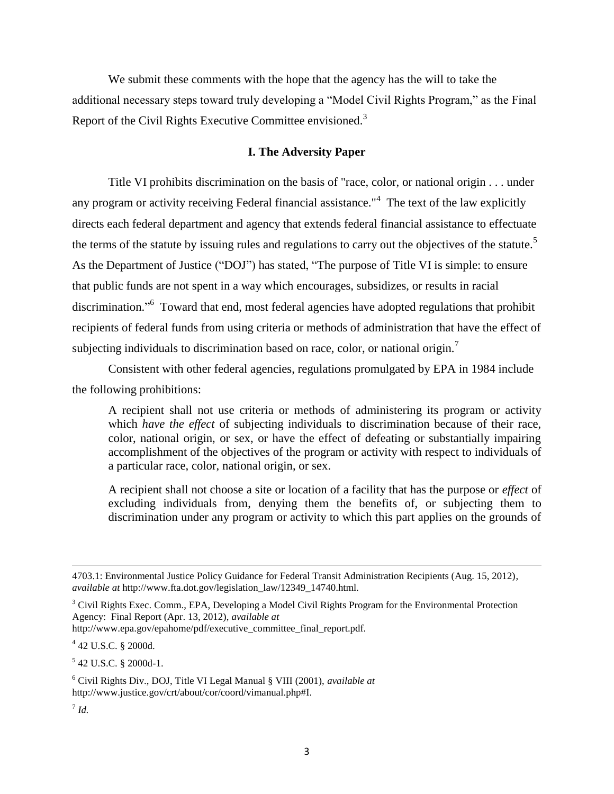We submit these comments with the hope that the agency has the will to take the additional necessary steps toward truly developing a "Model Civil Rights Program," as the Final Report of the Civil Rights Executive Committee envisioned.<sup>3</sup>

### **I. The Adversity Paper**

Title VI prohibits discrimination on the basis of "race, color, or national origin . . . under any program or activity receiving Federal financial assistance."<sup>4</sup> The text of the law explicitly directs each federal department and agency that extends federal financial assistance to effectuate the terms of the statute by issuing rules and regulations to carry out the objectives of the statute.<sup>5</sup> As the Department of Justice ("DOJ") has stated, "The purpose of Title VI is simple: to ensure that public funds are not spent in a way which encourages, subsidizes, or results in racial discrimination."<sup>6</sup> Toward that end, most federal agencies have adopted regulations that prohibit recipients of federal funds from using criteria or methods of administration that have the effect of subjecting individuals to discrimination based on race, color, or national origin.<sup>7</sup>

Consistent with other federal agencies, regulations promulgated by EPA in 1984 include the following prohibitions:

A recipient shall not use criteria or methods of administering its program or activity which *have the effect* of subjecting individuals to discrimination because of their race, color, national origin, or sex, or have the effect of defeating or substantially impairing accomplishment of the objectives of the program or activity with respect to individuals of a particular race, color, national origin, or sex.

A recipient shall not choose a site or location of a facility that has the purpose or *effect* of excluding individuals from, denying them the benefits of, or subjecting them to discrimination under any program or activity to which this part applies on the grounds of

http://www.epa.gov/epahome/pdf/executive\_committee\_final\_report.pdf.

4 42 U.S.C. § 2000d.

5 42 U.S.C. § 2000d-1.

<sup>4703.1:</sup> Environmental Justice Policy Guidance for Federal Transit Administration Recipients (Aug. 15, 2012), *available at* http://www.fta.dot.gov/legislation\_law/12349\_14740.html.

<sup>&</sup>lt;sup>3</sup> Civil Rights Exec. Comm., EPA, Developing a Model Civil Rights Program for the Environmental Protection Agency: Final Report (Apr. 13, 2012), *available at*

<sup>6</sup> Civil Rights Div., DOJ, Title VI Legal Manual § VIII (2001), *available at*  http://www.justice.gov/crt/about/cor/coord/vimanual.php#I.

<sup>7</sup> *Id.*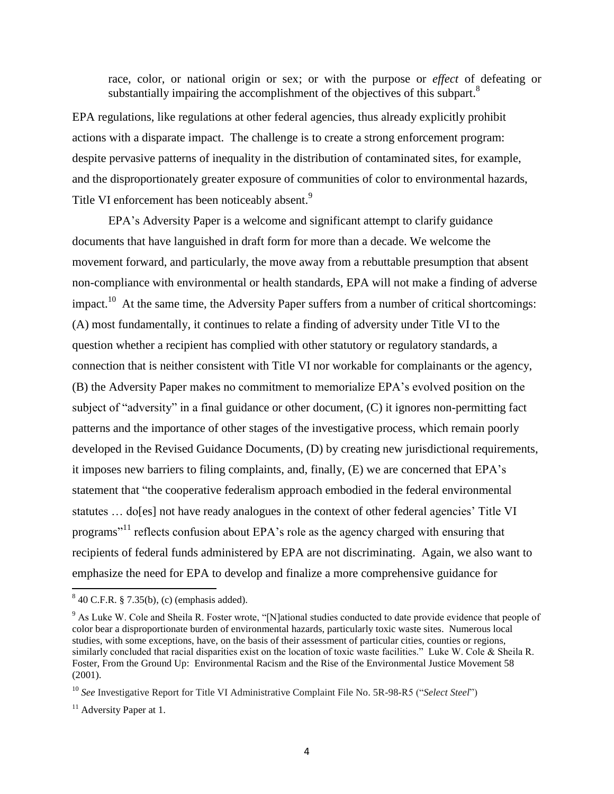race, color, or national origin or sex; or with the purpose or *effect* of defeating or substantially impairing the accomplishment of the objectives of this subpart.<sup>8</sup>

EPA regulations, like regulations at other federal agencies, thus already explicitly prohibit actions with a disparate impact. The challenge is to create a strong enforcement program: despite pervasive patterns of inequality in the distribution of contaminated sites, for example, and the disproportionately greater exposure of communities of color to environmental hazards, Title VI enforcement has been noticeably absent.<sup>9</sup>

EPA's Adversity Paper is a welcome and significant attempt to clarify guidance documents that have languished in draft form for more than a decade. We welcome the movement forward, and particularly, the move away from a rebuttable presumption that absent non-compliance with environmental or health standards, EPA will not make a finding of adverse impact.<sup>10</sup> At the same time, the Adversity Paper suffers from a number of critical shortcomings: (A) most fundamentally, it continues to relate a finding of adversity under Title VI to the question whether a recipient has complied with other statutory or regulatory standards, a connection that is neither consistent with Title VI nor workable for complainants or the agency, (B) the Adversity Paper makes no commitment to memorialize EPA's evolved position on the subject of "adversity" in a final guidance or other document,  $(C)$  it ignores non-permitting fact patterns and the importance of other stages of the investigative process, which remain poorly developed in the Revised Guidance Documents, (D) by creating new jurisdictional requirements, it imposes new barriers to filing complaints, and, finally, (E) we are concerned that EPA's statement that "the cooperative federalism approach embodied in the federal environmental statutes … do[es] not have ready analogues in the context of other federal agencies' Title VI programs<sup>"11</sup> reflects confusion about EPA's role as the agency charged with ensuring that recipients of federal funds administered by EPA are not discriminating. Again, we also want to emphasize the need for EPA to develop and finalize a more comprehensive guidance for

 8 40 C.F.R. § 7.35(b), (c) (emphasis added).

<sup>&</sup>lt;sup>9</sup> As Luke W. Cole and Sheila R. Foster wrote, "[N]ational studies conducted to date provide evidence that people of color bear a disproportionate burden of environmental hazards, particularly toxic waste sites. Numerous local studies, with some exceptions, have, on the basis of their assessment of particular cities, counties or regions, similarly concluded that racial disparities exist on the location of toxic waste facilities." Luke W. Cole & Sheila R. Foster, From the Ground Up: Environmental Racism and the Rise of the Environmental Justice Movement 58 (2001).

<sup>&</sup>lt;sup>10</sup> See Investigative Report for Title VI Administrative Complaint File No. 5R-98-R5 ("Select Steel")

 $11$  Adversity Paper at 1.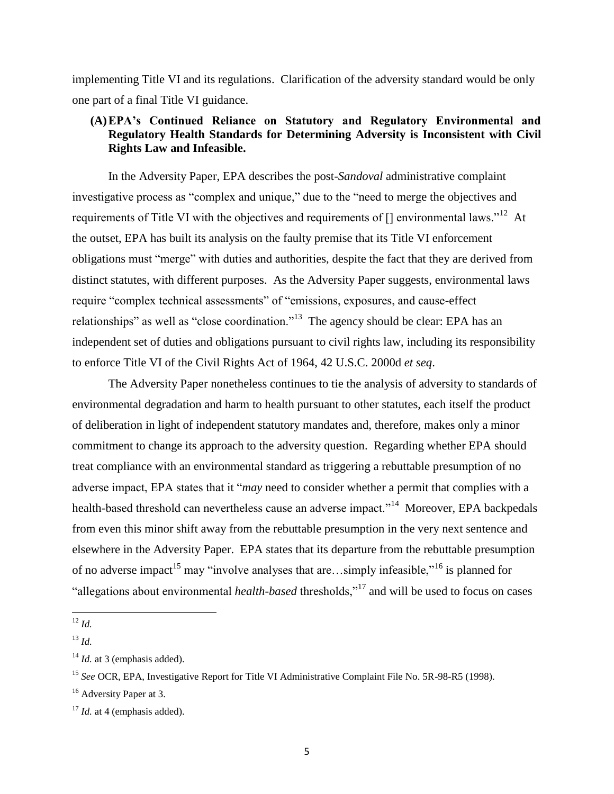implementing Title VI and its regulations. Clarification of the adversity standard would be only one part of a final Title VI guidance.

# **(A)EPA's Continued Reliance on Statutory and Regulatory Environmental and Regulatory Health Standards for Determining Adversity is Inconsistent with Civil Rights Law and Infeasible.**

In the Adversity Paper, EPA describes the post-*Sandoval* administrative complaint investigative process as "complex and unique," due to the "need to merge the objectives and requirements of Title VI with the objectives and requirements of  $\lceil \cdot \rceil$  environmental laws."<sup>12</sup> At the outset, EPA has built its analysis on the faulty premise that its Title VI enforcement obligations must "merge" with duties and authorities, despite the fact that they are derived from distinct statutes, with different purposes. As the Adversity Paper suggests, environmental laws require "complex technical assessments" of "emissions, exposures, and cause-effect relationships" as well as "close coordination."<sup>13</sup> The agency should be clear: EPA has an independent set of duties and obligations pursuant to civil rights law, including its responsibility to enforce Title VI of the Civil Rights Act of 1964, 42 U.S.C. 2000d *et seq*.

The Adversity Paper nonetheless continues to tie the analysis of adversity to standards of environmental degradation and harm to health pursuant to other statutes, each itself the product of deliberation in light of independent statutory mandates and, therefore, makes only a minor commitment to change its approach to the adversity question. Regarding whether EPA should treat compliance with an environmental standard as triggering a rebuttable presumption of no adverse impact, EPA states that it "*may* need to consider whether a permit that complies with a health-based threshold can nevertheless cause an adverse impact."<sup>14</sup> Moreover, EPA backpedals from even this minor shift away from the rebuttable presumption in the very next sentence and elsewhere in the Adversity Paper. EPA states that its departure from the rebuttable presumption of no adverse impact<sup>15</sup> may "involve analyses that are...simply infeasible,"<sup>16</sup> is planned for "allegations about environmental *health-based* thresholds,"<sup>17</sup> and will be used to focus on cases

 $\overline{\phantom{a}}$ <sup>12</sup> *Id.*

<sup>13</sup> *Id.*

<sup>&</sup>lt;sup>14</sup> *Id.* at 3 (emphasis added).

<sup>15</sup> *See* OCR, EPA, Investigative Report for Title VI Administrative Complaint File No. 5R-98-R5 (1998).

<sup>&</sup>lt;sup>16</sup> Adversity Paper at 3.

<sup>&</sup>lt;sup>17</sup> *Id.* at 4 (emphasis added).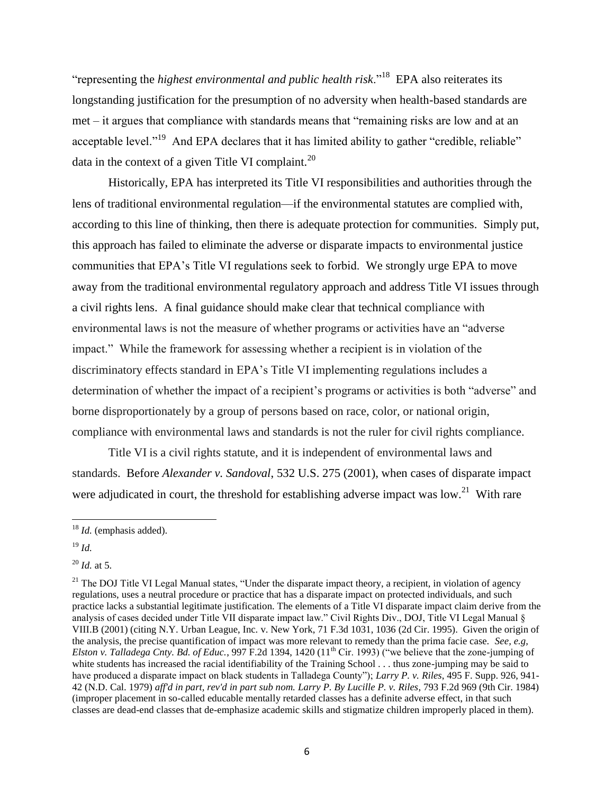"representing the *highest environmental and public health risk*."<sup>18</sup> EPA also reiterates its longstanding justification for the presumption of no adversity when health-based standards are  $met - it$  argues that compliance with standards means that "remaining risks are low and at an acceptable level."<sup>19</sup> And EPA declares that it has limited ability to gather "credible, reliable" data in the context of a given Title VI complaint.<sup>20</sup>

Historically, EPA has interpreted its Title VI responsibilities and authorities through the lens of traditional environmental regulation—if the environmental statutes are complied with, according to this line of thinking, then there is adequate protection for communities. Simply put, this approach has failed to eliminate the adverse or disparate impacts to environmental justice communities that EPA's Title VI regulations seek to forbid. We strongly urge EPA to move away from the traditional environmental regulatory approach and address Title VI issues through a civil rights lens. A final guidance should make clear that technical compliance with environmental laws is not the measure of whether programs or activities have an "adverse" impact." While the framework for assessing whether a recipient is in violation of the discriminatory effects standard in EPA's Title VI implementing regulations includes a determination of whether the impact of a recipient's programs or activities is both "adverse" and borne disproportionately by a group of persons based on race, color, or national origin, compliance with environmental laws and standards is not the ruler for civil rights compliance.

Title VI is a civil rights statute, and it is independent of environmental laws and standards. Before *Alexander v. Sandoval*, 532 U.S. 275 (2001), when cases of disparate impact were adjudicated in court, the threshold for establishing adverse impact was low.<sup>21</sup> With rare

<sup>18</sup> *Id.* (emphasis added).

<sup>19</sup> *Id.*

<sup>20</sup> *Id.* at 5.

 $21$  The DOJ Title VI Legal Manual states, "Under the disparate impact theory, a recipient, in violation of agency regulations, uses a neutral procedure or practice that has a disparate impact on protected individuals, and such practice lacks a substantial legitimate justification. The elements of a Title VI disparate impact claim derive from the analysis of cases decided under Title VII disparate impact law." Civil Rights Div., DOJ, Title VI Legal Manual § VIII.B (2001) (citing N.Y. Urban League, Inc. v. New York, 71 F.3d 1031, 1036 (2d Cir. 1995). Given the origin of the analysis, the precise quantification of impact was more relevant to remedy than the prima facie case. *See, e.g, Elston v. Talladega Cnty. Bd. of Educ.*, 997 F.2d 1394, 1420 (11<sup>th</sup> Cir. 1993) ("we believe that the zone-jumping of white students has increased the racial identifiability of the Training School . . . thus zone-jumping may be said to have produced a disparate impact on black students in Talladega County"); *Larry P. v. Riles*, 495 F. Supp. 926, 941-42 (N.D. Cal. 1979) *aff'd in part, rev'd in part sub nom. Larry P. By Lucille P. v. Riles*, 793 F.2d 969 (9th Cir. 1984) (improper placement in so-called educable mentally retarded classes has a definite adverse effect, in that such classes are dead-end classes that de-emphasize academic skills and stigmatize children improperly placed in them).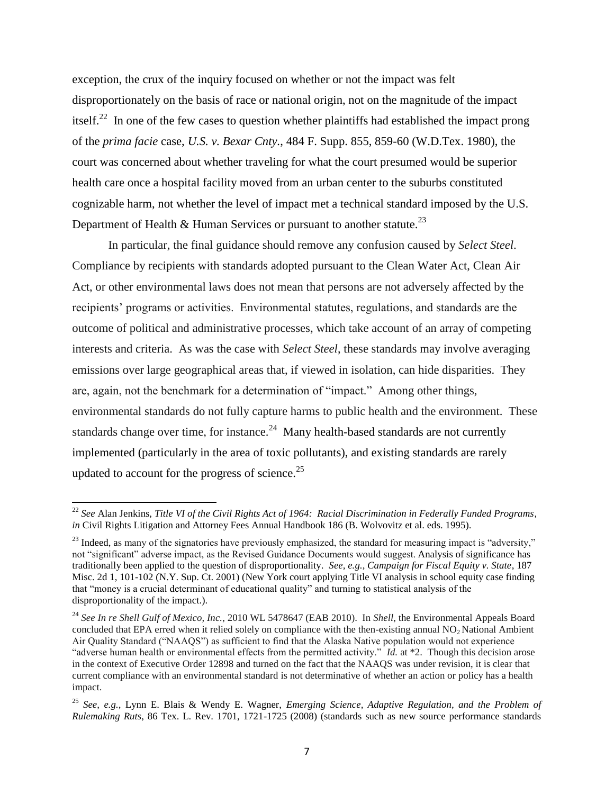exception, the crux of the inquiry focused on whether or not the impact was felt disproportionately on the basis of race or national origin, not on the magnitude of the impact itself.<sup>22</sup> In one of the few cases to question whether plaintiffs had established the impact prong of the *prima facie* case, *U.S. v. Bexar Cnty.*, 484 F. Supp. 855, 859-60 (W.D.Tex. 1980), the court was concerned about whether traveling for what the court presumed would be superior health care once a hospital facility moved from an urban center to the suburbs constituted cognizable harm, not whether the level of impact met a technical standard imposed by the U.S. Department of Health  $&$  Human Services or pursuant to another statute.<sup>23</sup>

In particular, the final guidance should remove any confusion caused by *Select Steel*. Compliance by recipients with standards adopted pursuant to the Clean Water Act, Clean Air Act, or other environmental laws does not mean that persons are not adversely affected by the recipients' programs or activities. Environmental statutes, regulations, and standards are the outcome of political and administrative processes, which take account of an array of competing interests and criteria. As was the case with *Select Steel*, these standards may involve averaging emissions over large geographical areas that, if viewed in isolation, can hide disparities. They are, again, not the benchmark for a determination of "impact." Among other things, environmental standards do not fully capture harms to public health and the environment. These standards change over time, for instance.<sup>24</sup> Many health-based standards are not currently implemented (particularly in the area of toxic pollutants), and existing standards are rarely updated to account for the progress of science.<sup>25</sup>

<sup>22</sup> *See* Alan Jenkins, *Title VI of the Civil Rights Act of 1964: Racial Discrimination in Federally Funded Programs*, *in* Civil Rights Litigation and Attorney Fees Annual Handbook 186 (B. Wolvovitz et al. eds. 1995).

<sup>&</sup>lt;sup>23</sup> Indeed, as many of the signatories have previously emphasized, the standard for measuring impact is "adversity," not "significant" adverse impact, as the Revised Guidance Documents would suggest. Analysis of significance has traditionally been applied to the question of disproportionality. *See, e.g., Campaign for Fiscal Equity v. State*, 187 Misc. 2d 1, 101-102 (N.Y. Sup. Ct. 2001) (New York court applying Title VI analysis in school equity case finding that "money is a crucial determinant of educational quality" and turning to statistical analysis of the disproportionality of the impact.).

<sup>&</sup>lt;sup>24</sup> See In re Shell Gulf of Mexico, Inc., 2010 WL 5478647 (EAB 2010). In Shell, the Environmental Appeals Board concluded that EPA erred when it relied solely on compliance with the then-existing annual  $NO<sub>2</sub>$  National Ambient Air Quality Standard ("NAAQS") as sufficient to find that the Alaska Native population would not experience "adverse human health or environmental effects from the permitted activity." *Id.* at \*2. Though this decision arose in the context of Executive Order 12898 and turned on the fact that the NAAQS was under revision, it is clear that current compliance with an environmental standard is not determinative of whether an action or policy has a health impact.

<sup>25</sup> *See, e.g.,* Lynn E. Blais & Wendy E. Wagner, *Emerging Science, Adaptive Regulation, and the Problem of Rulemaking Ruts*, 86 Tex. L. Rev. 1701, 1721-1725 (2008) (standards such as new source performance standards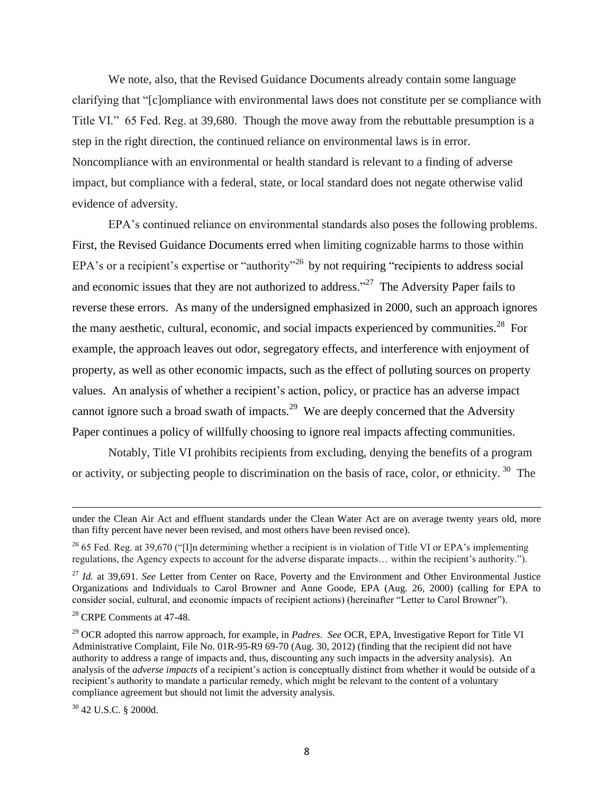We note, also, that the Revised Guidance Documents already contain some language clarifying that ―[c]ompliance with environmental laws does not constitute per se compliance with Title VI." 65 Fed. Reg. at 39,680. Though the move away from the rebuttable presumption is a step in the right direction, the continued reliance on environmental laws is in error. Noncompliance with an environmental or health standard is relevant to a finding of adverse impact, but compliance with a federal, state, or local standard does not negate otherwise valid evidence of adversity.

EPA's continued reliance on environmental standards also poses the following problems. First, the Revised Guidance Documents erred when limiting cognizable harms to those within EPA's or a recipient's expertise or "authority"<sup>26</sup> by not requiring "recipients to address social and economic issues that they are not authorized to address.<sup> $27$ </sup> The Adversity Paper fails to reverse these errors. As many of the undersigned emphasized in 2000, such an approach ignores the many aesthetic, cultural, economic, and social impacts experienced by communities.<sup>28</sup> For example, the approach leaves out odor, segregatory effects, and interference with enjoyment of property, as well as other economic impacts, such as the effect of polluting sources on property values. An analysis of whether a recipient's action, policy, or practice has an adverse impact cannot ignore such a broad swath of impacts.<sup>29</sup> We are deeply concerned that the Adversity Paper continues a policy of willfully choosing to ignore real impacts affecting communities.

Notably, Title VI prohibits recipients from excluding, denying the benefits of a program or activity, or subjecting people to discrimination on the basis of race, color, or ethnicity.<sup>30</sup> The

under the Clean Air Act and effluent standards under the Clean Water Act are on average twenty years old, more than fifty percent have never been revised, and most others have been revised once).

 $26$  65 Fed. Reg. at 39,670 ("[I]n determining whether a recipient is in violation of Title VI or EPA's implementing regulations, the Agency expects to account for the adverse disparate impacts... within the recipient's authority.").

<sup>27</sup> *Id.* at 39,691. *See* Letter from Center on Race, Poverty and the Environment and Other Environmental Justice Organizations and Individuals to Carol Browner and Anne Goode, EPA (Aug. 26, 2000) (calling for EPA to consider social, cultural, and economic impacts of recipient actions) (hereinafter "Letter to Carol Browner").

<sup>28</sup> CRPE Comments at 47-48.

<sup>29</sup> OCR adopted this narrow approach, for example, in *Padres*. *See* OCR, EPA, Investigative Report for Title VI Administrative Complaint, File No. 01R-95-R9 69-70 (Aug. 30, 2012) (finding that the recipient did not have authority to address a range of impacts and, thus, discounting any such impacts in the adversity analysis). An analysis of the *adverse impacts* of a recipient's action is conceptually distinct from whether it would be outside of a recipient's authority to mandate a particular remedy, which might be relevant to the content of a voluntary compliance agreement but should not limit the adversity analysis.

 $30$  42 U.S.C. § 2000d.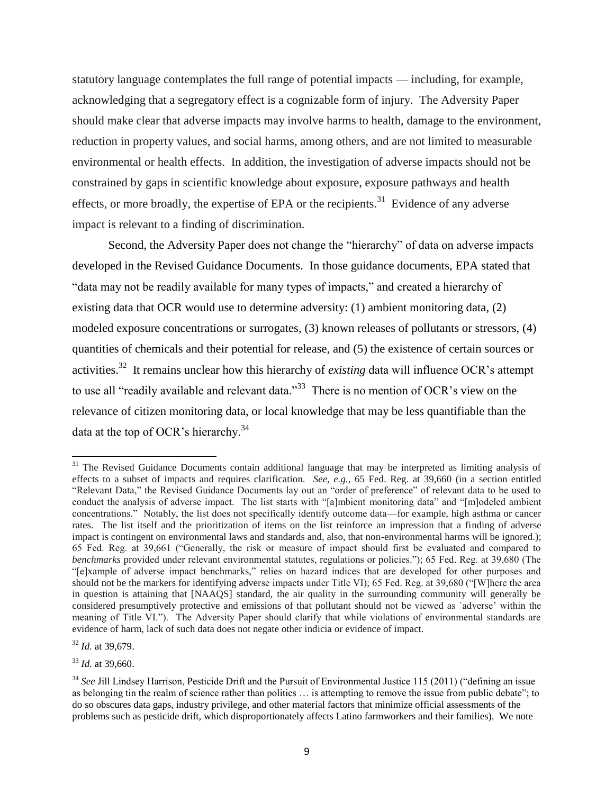statutory language contemplates the full range of potential impacts — including, for example, acknowledging that a segregatory effect is a cognizable form of injury. The Adversity Paper should make clear that adverse impacts may involve harms to health, damage to the environment, reduction in property values, and social harms, among others, and are not limited to measurable environmental or health effects. In addition, the investigation of adverse impacts should not be constrained by gaps in scientific knowledge about exposure, exposure pathways and health effects, or more broadly, the expertise of EPA or the recipients.<sup>31</sup> Evidence of any adverse impact is relevant to a finding of discrimination.

Second, the Adversity Paper does not change the "hierarchy" of data on adverse impacts developed in the Revised Guidance Documents. In those guidance documents, EPA stated that "data may not be readily available for many types of impacts," and created a hierarchy of existing data that OCR would use to determine adversity: (1) ambient monitoring data, (2) modeled exposure concentrations or surrogates, (3) known releases of pollutants or stressors, (4) quantities of chemicals and their potential for release, and (5) the existence of certain sources or activities.<sup>32</sup> It remains unclear how this hierarchy of *existing* data will influence OCR's attempt to use all "readily available and relevant data."<sup>33</sup> There is no mention of OCR's view on the relevance of citizen monitoring data, or local knowledge that may be less quantifiable than the data at the top of OCR's hierarchy.<sup>34</sup>

<sup>&</sup>lt;sup>31</sup> The Revised Guidance Documents contain additional language that may be interpreted as limiting analysis of effects to a subset of impacts and requires clarification. *See, e.g.*, 65 Fed. Reg. at 39,660 (in a section entitled "Relevant Data," the Revised Guidance Documents lay out an "order of preference" of relevant data to be used to conduct the analysis of adverse impact. The list starts with "[a]mbient monitoring data" and "[m]odeled ambient concentrations.‖ Notably, the list does not specifically identify outcome data—for example, high asthma or cancer rates. The list itself and the prioritization of items on the list reinforce an impression that a finding of adverse impact is contingent on environmental laws and standards and, also, that non-environmental harms will be ignored.); 65 Fed. Reg. at 39,661 ("Generally, the risk or measure of impact should first be evaluated and compared to *benchmarks* provided under relevant environmental statutes, regulations or policies."); 65 Fed. Reg. at 39,680 (The ―[e]xample of adverse impact benchmarks,‖ relies on hazard indices that are developed for other purposes and should not be the markers for identifying adverse impacts under Title VI); 65 Fed. Reg. at 39,680 ("[W]here the area in question is attaining that [NAAQS] standard, the air quality in the surrounding community will generally be considered presumptively protective and emissions of that pollutant should not be viewed as `adverse' within the meaning of Title VI."). The Adversity Paper should clarify that while violations of environmental standards are evidence of harm, lack of such data does not negate other indicia or evidence of impact.

<sup>32</sup> *Id.* at 39,679.

<sup>33</sup> *Id.* at 39,660.

 $34$  *See Jill Lindsey Harrison, Pesticide Drift and the Pursuit of Environmental Justice 115 (2011)* ("defining an issue as belonging tin the realm of science rather than politics ... is attempting to remove the issue from public debate"; to do so obscures data gaps, industry privilege, and other material factors that minimize official assessments of the problems such as pesticide drift, which disproportionately affects Latino farmworkers and their families). We note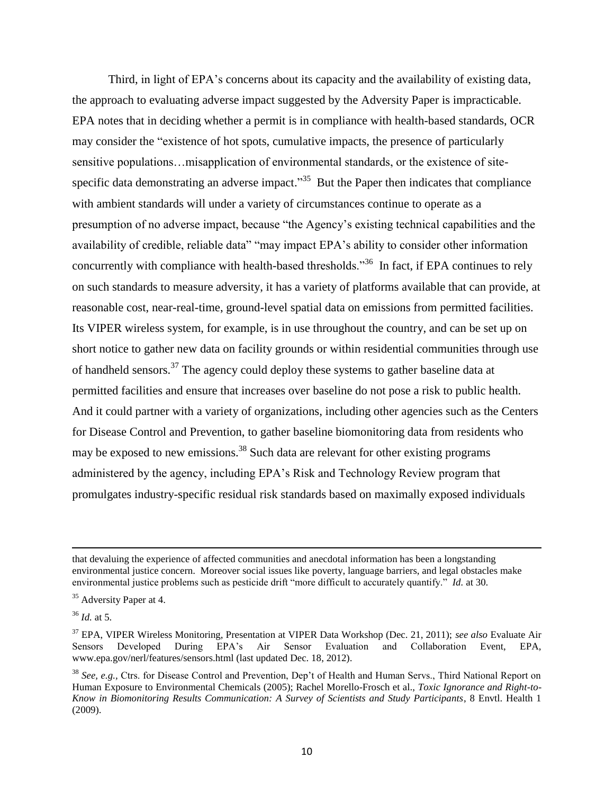Third, in light of EPA's concerns about its capacity and the availability of existing data, the approach to evaluating adverse impact suggested by the Adversity Paper is impracticable. EPA notes that in deciding whether a permit is in compliance with health-based standards, OCR may consider the "existence of hot spots, cumulative impacts, the presence of particularly sensitive populations…misapplication of environmental standards, or the existence of sitespecific data demonstrating an adverse impact.<sup>35</sup> But the Paper then indicates that compliance with ambient standards will under a variety of circumstances continue to operate as a presumption of no adverse impact, because "the Agency's existing technical capabilities and the availability of credible, reliable data" "may impact EPA's ability to consider other information concurrently with compliance with health-based thresholds.<sup>36</sup> In fact, if EPA continues to rely on such standards to measure adversity, it has a variety of platforms available that can provide, at reasonable cost, near-real-time, ground-level spatial data on emissions from permitted facilities. Its VIPER wireless system, for example, is in use throughout the country, and can be set up on short notice to gather new data on facility grounds or within residential communities through use of handheld sensors.<sup>37</sup> The agency could deploy these systems to gather baseline data at permitted facilities and ensure that increases over baseline do not pose a risk to public health. And it could partner with a variety of organizations, including other agencies such as the Centers for Disease Control and Prevention, to gather baseline biomonitoring data from residents who may be exposed to new emissions.<sup>38</sup> Such data are relevant for other existing programs administered by the agency, including EPA's Risk and Technology Review program that promulgates industry-specific residual risk standards based on maximally exposed individuals

 $\overline{a}$ 

that devaluing the experience of affected communities and anecdotal information has been a longstanding environmental justice concern. Moreover social issues like poverty, language barriers, and legal obstacles make environmental justice problems such as pesticide drift "more difficult to accurately quantify." *Id.* at 30.

<sup>&</sup>lt;sup>35</sup> Adversity Paper at 4.

 $36$  *Id.* at 5.

<sup>37</sup> EPA, VIPER Wireless Monitoring, Presentation at VIPER Data Workshop (Dec. 21, 2011); *see also* Evaluate Air Sensors Developed During EPA's Air Sensor Evaluation and Collaboration Event, EPA, www.epa.gov/nerl/features/sensors.html (last updated Dec. 18, 2012).

<sup>&</sup>lt;sup>38</sup> See, e.g., Ctrs. for Disease Control and Prevention, Dep't of Health and Human Servs., Third National Report on Human Exposure to Environmental Chemicals (2005); Rachel Morello-Frosch et al., *Toxic Ignorance and Right-to-Know in Biomonitoring Results Communication: A Survey of Scientists and Study Participants*, 8 Envtl. Health 1 (2009).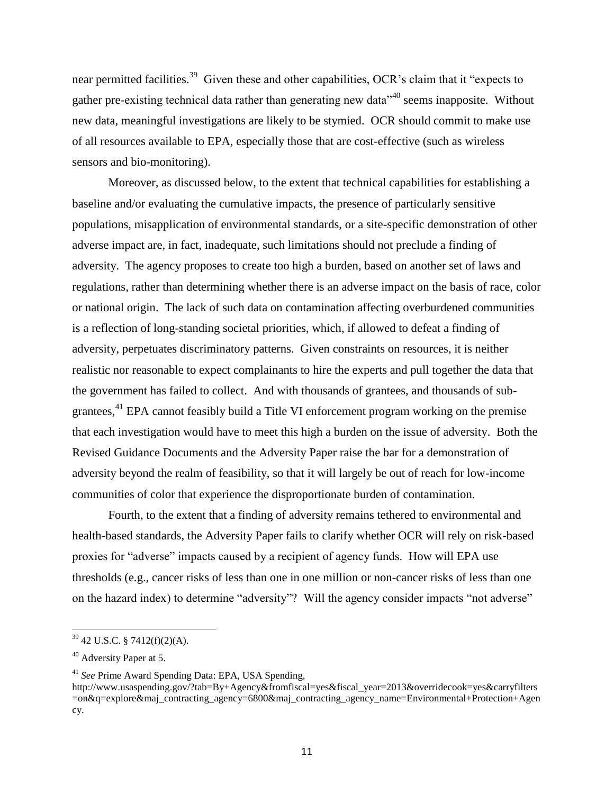near permitted facilities.<sup>39</sup> Given these and other capabilities, OCR's claim that it "expects to gather pre-existing technical data rather than generating new data<sup> $40$ </sup> seems inapposite. Without new data, meaningful investigations are likely to be stymied. OCR should commit to make use of all resources available to EPA, especially those that are cost-effective (such as wireless sensors and bio-monitoring).

Moreover, as discussed below, to the extent that technical capabilities for establishing a baseline and/or evaluating the cumulative impacts, the presence of particularly sensitive populations, misapplication of environmental standards, or a site-specific demonstration of other adverse impact are, in fact, inadequate, such limitations should not preclude a finding of adversity. The agency proposes to create too high a burden, based on another set of laws and regulations, rather than determining whether there is an adverse impact on the basis of race, color or national origin. The lack of such data on contamination affecting overburdened communities is a reflection of long-standing societal priorities, which, if allowed to defeat a finding of adversity, perpetuates discriminatory patterns. Given constraints on resources, it is neither realistic nor reasonable to expect complainants to hire the experts and pull together the data that the government has failed to collect. And with thousands of grantees, and thousands of subgrantees,<sup>41</sup> EPA cannot feasibly build a Title VI enforcement program working on the premise that each investigation would have to meet this high a burden on the issue of adversity. Both the Revised Guidance Documents and the Adversity Paper raise the bar for a demonstration of adversity beyond the realm of feasibility, so that it will largely be out of reach for low-income communities of color that experience the disproportionate burden of contamination.

Fourth, to the extent that a finding of adversity remains tethered to environmental and health-based standards, the Adversity Paper fails to clarify whether OCR will rely on risk-based proxies for "adverse" impacts caused by a recipient of agency funds. How will EPA use thresholds (e.g., cancer risks of less than one in one million or non-cancer risks of less than one on the hazard index) to determine "adversity"? Will the agency consider impacts "not adverse"

 $39$  42 U.S.C. § 7412(f)(2)(A).

<sup>&</sup>lt;sup>40</sup> Adversity Paper at 5.

<sup>41</sup> *See* Prime Award Spending Data: EPA, USA Spending,

http://www.usaspending.gov/?tab=By+Agency&fromfiscal=yes&fiscal\_year=2013&overridecook=yes&carryfilters =on&q=explore&maj\_contracting\_agency=6800&maj\_contracting\_agency\_name=Environmental+Protection+Agen cy.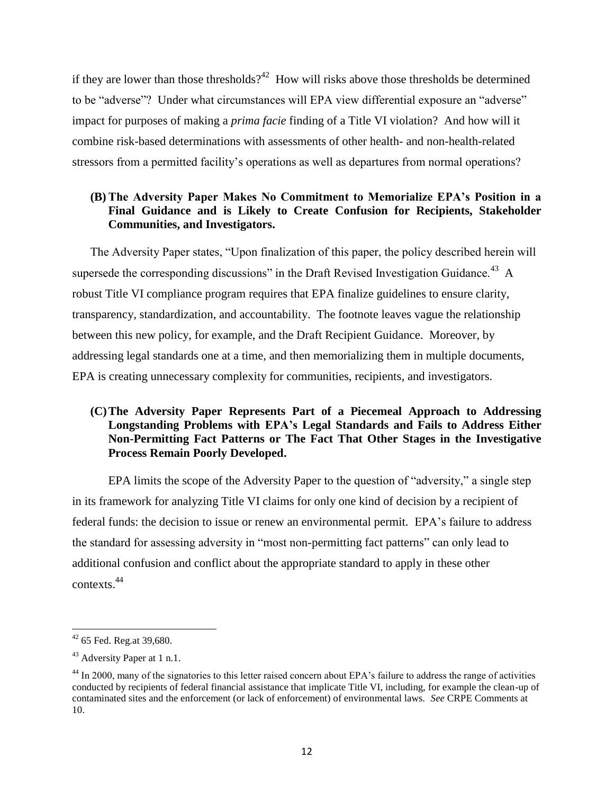if they are lower than those thresholds?<sup>42</sup> How will risks above those thresholds be determined to be "adverse"? Under what circumstances will EPA view differential exposure an "adverse" impact for purposes of making a *prima facie* finding of a Title VI violation? And how will it combine risk-based determinations with assessments of other health- and non-health-related stressors from a permitted facility's operations as well as departures from normal operations?

# **(B)The Adversity Paper Makes No Commitment to Memorialize EPA's Position in a Final Guidance and is Likely to Create Confusion for Recipients, Stakeholder Communities, and Investigators.**

The Adversity Paper states, "Upon finalization of this paper, the policy described herein will supersede the corresponding discussions" in the Draft Revised Investigation Guidance.<sup>43</sup> A robust Title VI compliance program requires that EPA finalize guidelines to ensure clarity, transparency, standardization, and accountability. The footnote leaves vague the relationship between this new policy, for example, and the Draft Recipient Guidance. Moreover, by addressing legal standards one at a time, and then memorializing them in multiple documents, EPA is creating unnecessary complexity for communities, recipients, and investigators.

# **(C)The Adversity Paper Represents Part of a Piecemeal Approach to Addressing Longstanding Problems with EPA's Legal Standards and Fails to Address Either Non-Permitting Fact Patterns or The Fact That Other Stages in the Investigative Process Remain Poorly Developed.**

EPA limits the scope of the Adversity Paper to the question of "adversity," a single step in its framework for analyzing Title VI claims for only one kind of decision by a recipient of federal funds: the decision to issue or renew an environmental permit. EPA's failure to address the standard for assessing adversity in "most non-permitting fact patterns" can only lead to additional confusion and conflict about the appropriate standard to apply in these other contexts. 44

l  $42$  65 Fed. Reg.at 39,680.

<sup>43</sup> Adversity Paper at 1 n.1.

<sup>&</sup>lt;sup>44</sup> In 2000, many of the signatories to this letter raised concern about EPA's failure to address the range of activities conducted by recipients of federal financial assistance that implicate Title VI, including, for example the clean-up of contaminated sites and the enforcement (or lack of enforcement) of environmental laws. *See* CRPE Comments at 10.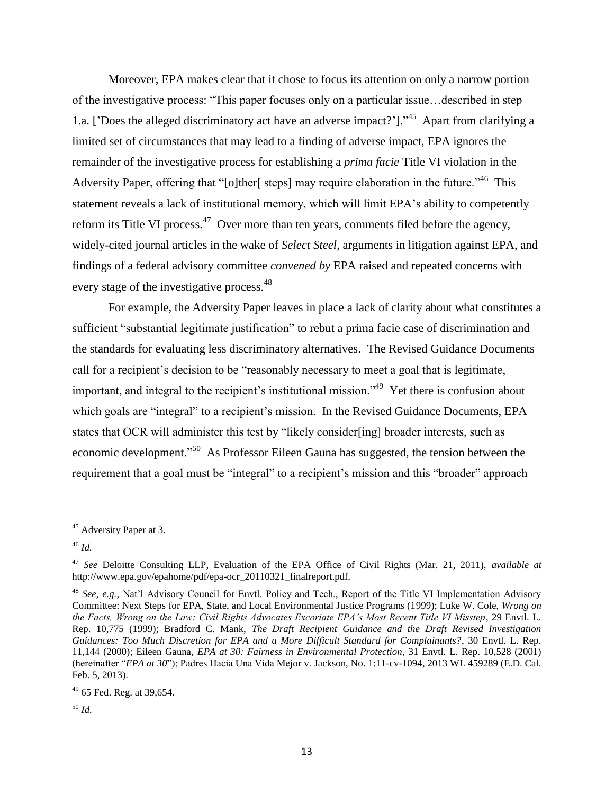Moreover, EPA makes clear that it chose to focus its attention on only a narrow portion of the investigative process: "This paper focuses only on a particular issue... described in step 1.a. ['Does the alleged discriminatory act have an adverse impact?']. $^{45}$  Apart from clarifying a limited set of circumstances that may lead to a finding of adverse impact, EPA ignores the remainder of the investigative process for establishing a *prima facie* Title VI violation in the Adversity Paper, offering that "[o]ther[ steps] may require elaboration in the future.<sup> $,46$ </sup> This statement reveals a lack of institutional memory, which will limit EPA's ability to competently reform its Title VI process.<sup>47</sup> Over more than ten years, comments filed before the agency, widely-cited journal articles in the wake of *Select Steel*, arguments in litigation against EPA, and findings of a federal advisory committee *convened by* EPA raised and repeated concerns with every stage of the investigative process.<sup>48</sup>

For example, the Adversity Paper leaves in place a lack of clarity about what constitutes a sufficient "substantial legitimate justification" to rebut a prima facie case of discrimination and the standards for evaluating less discriminatory alternatives. The Revised Guidance Documents call for a recipient's decision to be "reasonably necessary to meet a goal that is legitimate, important, and integral to the recipient's institutional mission.<sup> $,49$ </sup> Yet there is confusion about which goals are "integral" to a recipient's mission. In the Revised Guidance Documents, EPA states that OCR will administer this test by "likely consider[ing] broader interests, such as economic development."<sup>50</sup> As Professor Eileen Gauna has suggested, the tension between the requirement that a goal must be "integral" to a recipient's mission and this "broader" approach

 $\overline{a}$ 

<sup>&</sup>lt;sup>45</sup> Adversity Paper at 3.

<sup>46</sup> *Id.*

<sup>47</sup> *See* Deloitte Consulting LLP, Evaluation of the EPA Office of Civil Rights (Mar. 21, 2011), *available at*  http://www.epa.gov/epahome/pdf/epa-ocr\_20110321\_finalreport.pdf.

<sup>48</sup> *See, e.g.,* Nat'l Advisory Council for Envtl. Policy and Tech., Report of the Title VI Implementation Advisory Committee: Next Steps for EPA, State, and Local Environmental Justice Programs (1999); Luke W. Cole, *Wrong on the Facts, Wrong on the Law: Civil Rights Advocates Excoriate EPA's Most Recent Title VI Misstep*, 29 Envtl. L. Rep. 10,775 (1999); Bradford C. Mank, *The Draft Recipient Guidance and the Draft Revised Investigation Guidances: Too Much Discretion for EPA and a More Difficult Standard for Complainants?*, 30 Envtl. L. Rep. 11,144 (2000); Eileen Gauna, *EPA at 30: Fairness in Environmental Protection*, 31 Envtl. L. Rep. 10,528 (2001) (hereinafter "EPA at 30"); Padres Hacia Una Vida Mejor v. Jackson, No. 1:11-cv-1094, 2013 WL 459289 (E.D. Cal. Feb. 5, 2013).

 $49$  65 Fed. Reg. at 39,654.

<sup>50</sup> *Id.*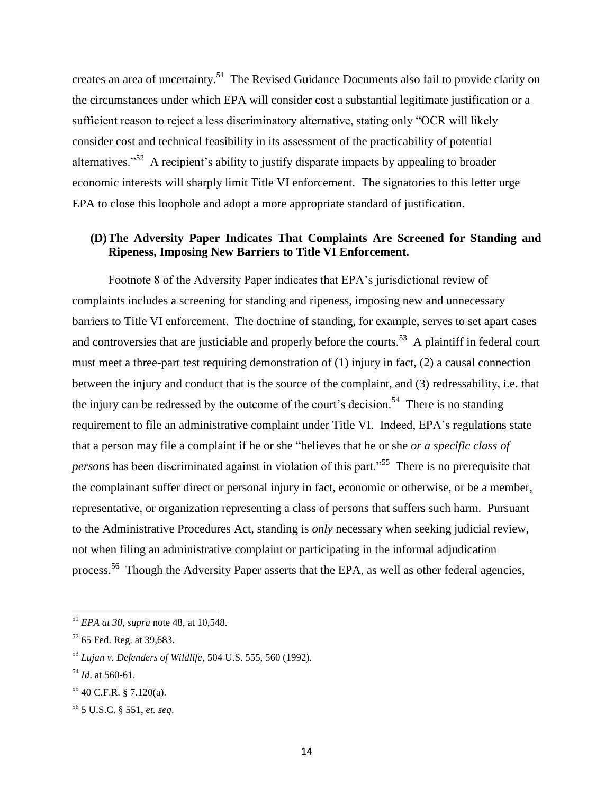creates an area of uncertainty.<sup>51</sup> The Revised Guidance Documents also fail to provide clarity on the circumstances under which EPA will consider cost a substantial legitimate justification or a sufficient reason to reject a less discriminatory alternative, stating only "OCR will likely consider cost and technical feasibility in its assessment of the practicability of potential alternatives.<sup> $52$ </sup> A recipient's ability to justify disparate impacts by appealing to broader economic interests will sharply limit Title VI enforcement. The signatories to this letter urge EPA to close this loophole and adopt a more appropriate standard of justification.

# **(D)The Adversity Paper Indicates That Complaints Are Screened for Standing and Ripeness, Imposing New Barriers to Title VI Enforcement.**

Footnote 8 of the Adversity Paper indicates that EPA's jurisdictional review of complaints includes a screening for standing and ripeness, imposing new and unnecessary barriers to Title VI enforcement. The doctrine of standing, for example, serves to set apart cases and controversies that are justiciable and properly before the courts.<sup>53</sup> A plaintiff in federal court must meet a three-part test requiring demonstration of (1) injury in fact, (2) a causal connection between the injury and conduct that is the source of the complaint, and (3) redressability, i.e. that the injury can be redressed by the outcome of the court's decision.<sup>54</sup> There is no standing requirement to file an administrative complaint under Title VI. Indeed, EPA's regulations state that a person may file a complaint if he or she "believes that he or she *or a specific class of* persons has been discriminated against in violation of this part."<sup>55</sup> There is no prerequisite that the complainant suffer direct or personal injury in fact, economic or otherwise, or be a member, representative, or organization representing a class of persons that suffers such harm. Pursuant to the Administrative Procedures Act, standing is *only* necessary when seeking judicial review, not when filing an administrative complaint or participating in the informal adjudication process.<sup>56</sup> Though the Adversity Paper asserts that the EPA, as well as other federal agencies,

<sup>51</sup> *EPA at 30, supra* note 48, at 10,548.

<sup>&</sup>lt;sup>52</sup> 65 Fed. Reg. at 39,683.

<sup>53</sup> *Lujan v. Defenders of Wildlife*, 504 U.S. 555, 560 (1992).

<sup>54</sup> *Id*. at 560-61.

<sup>55</sup> 40 C.F.R. § 7.120(a).

<sup>56</sup> 5 U.S.C. § 551, *et. seq*.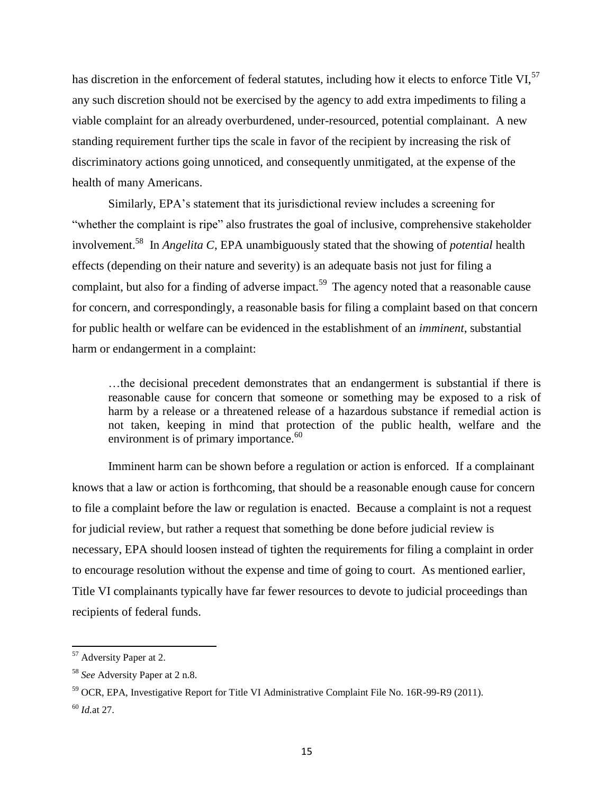has discretion in the enforcement of federal statutes, including how it elects to enforce Title VI,<sup>57</sup> any such discretion should not be exercised by the agency to add extra impediments to filing a viable complaint for an already overburdened, under-resourced, potential complainant. A new standing requirement further tips the scale in favor of the recipient by increasing the risk of discriminatory actions going unnoticed, and consequently unmitigated, at the expense of the health of many Americans.

Similarly, EPA's statement that its jurisdictional review includes a screening for "whether the complaint is ripe" also frustrates the goal of inclusive, comprehensive stakeholder involvement.<sup>58</sup> In *Angelita C*, EPA unambiguously stated that the showing of *potential* health effects (depending on their nature and severity) is an adequate basis not just for filing a complaint, but also for a finding of adverse impact.<sup>59</sup> The agency noted that a reasonable cause for concern, and correspondingly, a reasonable basis for filing a complaint based on that concern for public health or welfare can be evidenced in the establishment of an *imminent*, substantial harm or endangerment in a complaint:

…the decisional precedent demonstrates that an endangerment is substantial if there is reasonable cause for concern that someone or something may be exposed to a risk of harm by a release or a threatened release of a hazardous substance if remedial action is not taken, keeping in mind that protection of the public health, welfare and the environment is of primary importance.<sup>60</sup>

Imminent harm can be shown before a regulation or action is enforced. If a complainant knows that a law or action is forthcoming, that should be a reasonable enough cause for concern to file a complaint before the law or regulation is enacted. Because a complaint is not a request for judicial review, but rather a request that something be done before judicial review is necessary, EPA should loosen instead of tighten the requirements for filing a complaint in order to encourage resolution without the expense and time of going to court. As mentioned earlier, Title VI complainants typically have far fewer resources to devote to judicial proceedings than recipients of federal funds.

<sup>&</sup>lt;sup>57</sup> Adversity Paper at 2.

<sup>58</sup> *See* Adversity Paper at 2 n.8.

<sup>59</sup> OCR, EPA, Investigative Report for Title VI Administrative Complaint File No. 16R-99-R9 (2011). <sup>60</sup> *Id.*at 27.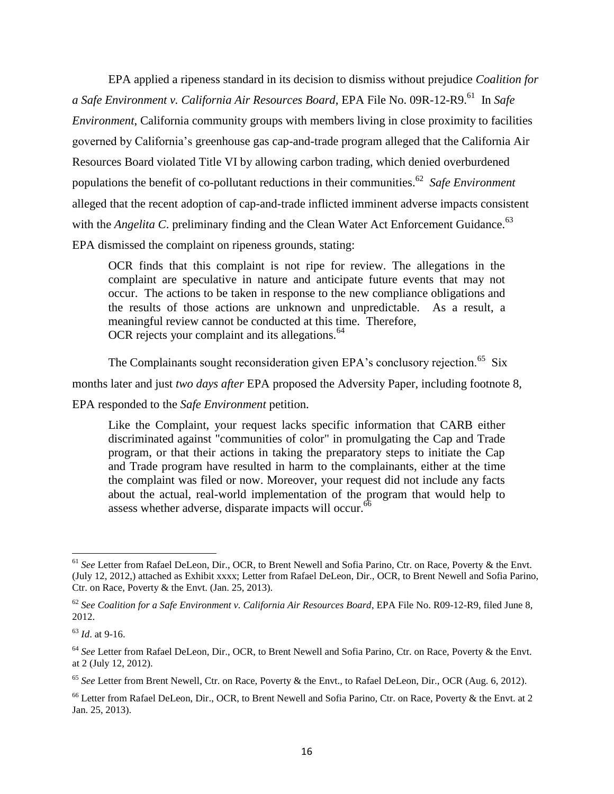EPA applied a ripeness standard in its decision to dismiss without prejudice *Coalition for*  a Safe Environment v. California Air Resources Board, EPA File No. 09R-12-R9.<sup>61</sup> In Safe *Environment*, California community groups with members living in close proximity to facilities governed by California's greenhouse gas cap-and-trade program alleged that the California Air Resources Board violated Title VI by allowing carbon trading, which denied overburdened populations the benefit of co-pollutant reductions in their communities.<sup>62</sup> Safe Environment alleged that the recent adoption of cap-and-trade inflicted imminent adverse impacts consistent with the *Angelita C*. preliminary finding and the Clean Water Act Enforcement Guidance.<sup>63</sup> EPA dismissed the complaint on ripeness grounds, stating:

OCR finds that this complaint is not ripe for review. The allegations in the complaint are speculative in nature and anticipate future events that may not occur. The actions to be taken in response to the new compliance obligations and the results of those actions are unknown and unpredictable. As a result, a meaningful review cannot be conducted at this time. Therefore, OCR rejects your complaint and its allegations.<sup>64</sup>

The Complainants sought reconsideration given EPA's conclusory rejection.<sup>65</sup> Six months later and just *two days after* EPA proposed the Adversity Paper, including footnote 8,

EPA responded to the *Safe Environment* petition.

Like the Complaint, your request lacks specific information that CARB either discriminated against "communities of color" in promulgating the Cap and Trade program, or that their actions in taking the preparatory steps to initiate the Cap and Trade program have resulted in harm to the complainants, either at the time the complaint was filed or now. Moreover, your request did not include any facts about the actual, real-world implementation of the program that would help to assess whether adverse, disparate impacts will occur.<sup>66</sup>

<sup>61</sup> *See* Letter from Rafael DeLeon, Dir., OCR, to Brent Newell and Sofia Parino, Ctr. on Race, Poverty & the Envt. (July 12, 2012,) attached as Exhibit xxxx; Letter from Rafael DeLeon, Dir., OCR, to Brent Newell and Sofia Parino, Ctr. on Race, Poverty  $&$  the Envt. (Jan. 25, 2013).

<sup>62</sup> *See Coalition for a Safe Environment v. California Air Resources Board*, EPA File No. R09-12-R9, filed June 8, 2012.

<sup>63</sup> *Id*. at 9-16.

<sup>&</sup>lt;sup>64</sup> See Letter from Rafael DeLeon, Dir., OCR, to Brent Newell and Sofia Parino, Ctr. on Race, Poverty & the Envt. at 2 (July 12, 2012).

<sup>65</sup> *See* Letter from Brent Newell, Ctr. on Race, Poverty & the Envt., to Rafael DeLeon, Dir., OCR (Aug. 6, 2012).

<sup>&</sup>lt;sup>66</sup> Letter from Rafael DeLeon, Dir., OCR, to Brent Newell and Sofia Parino, Ctr. on Race, Poverty & the Envt. at 2 Jan. 25, 2013).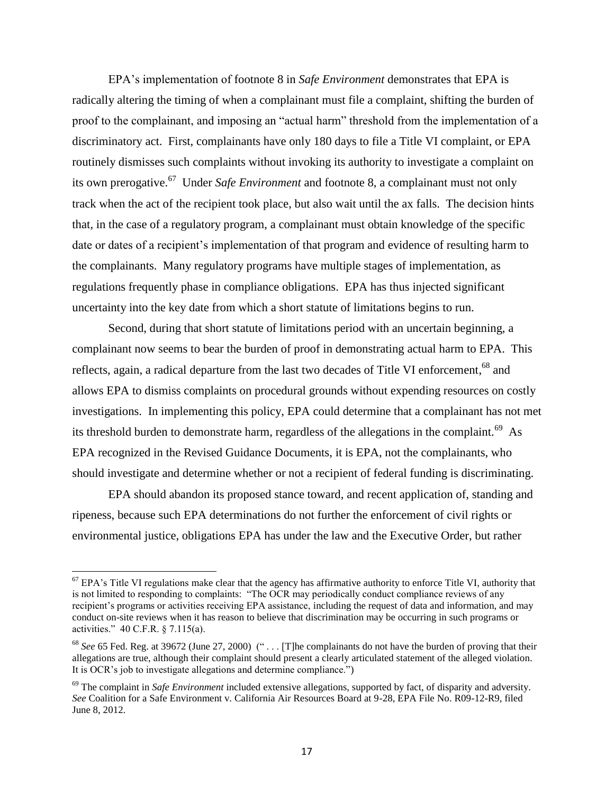EPA's implementation of footnote 8 in *Safe Environment* demonstrates that EPA is radically altering the timing of when a complainant must file a complaint, shifting the burden of proof to the complainant, and imposing an "actual harm" threshold from the implementation of a discriminatory act. First, complainants have only 180 days to file a Title VI complaint, or EPA routinely dismisses such complaints without invoking its authority to investigate a complaint on its own prerogative.<sup>67</sup> Under *Safe Environment* and footnote 8, a complainant must not only track when the act of the recipient took place, but also wait until the ax falls. The decision hints that, in the case of a regulatory program, a complainant must obtain knowledge of the specific date or dates of a recipient's implementation of that program and evidence of resulting harm to the complainants. Many regulatory programs have multiple stages of implementation, as regulations frequently phase in compliance obligations. EPA has thus injected significant uncertainty into the key date from which a short statute of limitations begins to run.

Second, during that short statute of limitations period with an uncertain beginning, a complainant now seems to bear the burden of proof in demonstrating actual harm to EPA. This reflects, again, a radical departure from the last two decades of Title VI enforcement, <sup>68</sup> and allows EPA to dismiss complaints on procedural grounds without expending resources on costly investigations. In implementing this policy, EPA could determine that a complainant has not met its threshold burden to demonstrate harm, regardless of the allegations in the complaint.<sup>69</sup> As EPA recognized in the Revised Guidance Documents, it is EPA, not the complainants, who should investigate and determine whether or not a recipient of federal funding is discriminating.

EPA should abandon its proposed stance toward, and recent application of, standing and ripeness, because such EPA determinations do not further the enforcement of civil rights or environmental justice, obligations EPA has under the law and the Executive Order, but rather

 $67$  EPA's Title VI regulations make clear that the agency has affirmative authority to enforce Title VI, authority that is not limited to responding to complaints: "The OCR may periodically conduct compliance reviews of any recipient's programs or activities receiving EPA assistance, including the request of data and information, and may conduct on-site reviews when it has reason to believe that discrimination may be occurring in such programs or activities."  $40$  C.F.R. § 7.115(a).

<sup>&</sup>lt;sup>68</sup> See 65 Fed. Reg. at 39672 (June 27, 2000) (" . . . [T]he complainants do not have the burden of proving that their allegations are true, although their complaint should present a clearly articulated statement of the alleged violation. It is OCR's job to investigate allegations and determine compliance."

<sup>&</sup>lt;sup>69</sup> The complaint in *Safe Environment* included extensive allegations, supported by fact, of disparity and adversity. *See* Coalition for a Safe Environment v. California Air Resources Board at 9-28, EPA File No. R09-12-R9, filed June 8, 2012.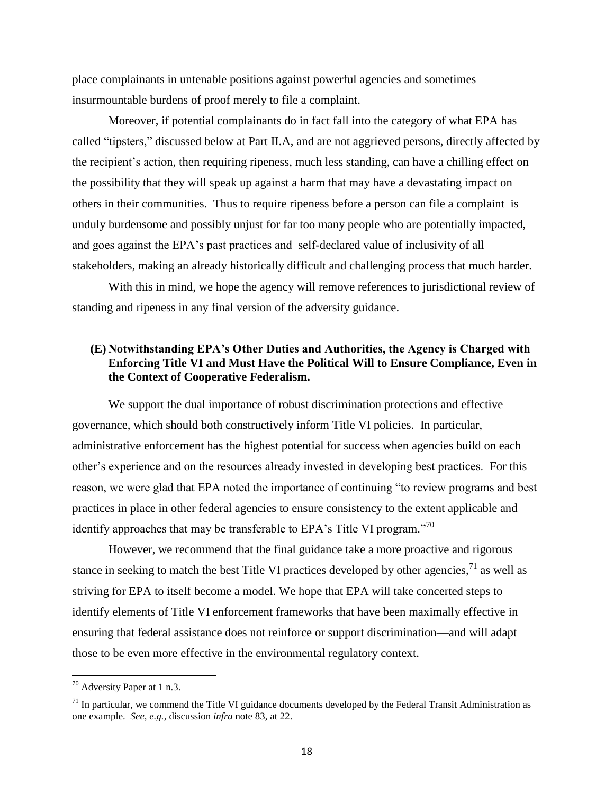place complainants in untenable positions against powerful agencies and sometimes insurmountable burdens of proof merely to file a complaint.

Moreover, if potential complainants do in fact fall into the category of what EPA has called "tipsters," discussed below at Part II.A, and are not aggrieved persons, directly affected by the recipient's action, then requiring ripeness, much less standing, can have a chilling effect on the possibility that they will speak up against a harm that may have a devastating impact on others in their communities. Thus to require ripeness before a person can file a complaint is unduly burdensome and possibly unjust for far too many people who are potentially impacted, and goes against the EPA's past practices and self-declared value of inclusivity of all stakeholders, making an already historically difficult and challenging process that much harder.

With this in mind, we hope the agency will remove references to jurisdictional review of standing and ripeness in any final version of the adversity guidance.

### **(E) Notwithstanding EPA's Other Duties and Authorities, the Agency is Charged with Enforcing Title VI and Must Have the Political Will to Ensure Compliance, Even in the Context of Cooperative Federalism.**

We support the dual importance of robust discrimination protections and effective governance, which should both constructively inform Title VI policies. In particular, administrative enforcement has the highest potential for success when agencies build on each other's experience and on the resources already invested in developing best practices. For this reason, we were glad that EPA noted the importance of continuing "to review programs and best practices in place in other federal agencies to ensure consistency to the extent applicable and identify approaches that may be transferable to EPA's Title VI program. $^{770}$ 

However, we recommend that the final guidance take a more proactive and rigorous stance in seeking to match the best Title VI practices developed by other agencies,  $\frac{1}{1}$  as well as striving for EPA to itself become a model. We hope that EPA will take concerted steps to identify elements of Title VI enforcement frameworks that have been maximally effective in ensuring that federal assistance does not reinforce or support discrimination—and will adapt those to be even more effective in the environmental regulatory context.

 $70$  Adversity Paper at 1 n.3.

 $<sup>71</sup>$  In particular, we commend the Title VI guidance documents developed by the Federal Transit Administration as</sup> one example. *See, e.g.,* discussion *infra* note 83, at 22.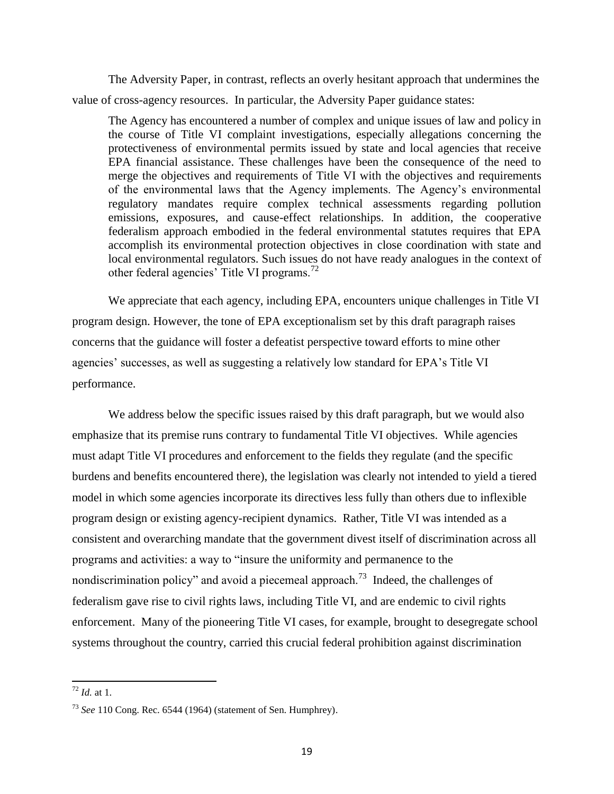The Adversity Paper, in contrast, reflects an overly hesitant approach that undermines the value of cross-agency resources. In particular, the Adversity Paper guidance states:

The Agency has encountered a number of complex and unique issues of law and policy in the course of Title VI complaint investigations, especially allegations concerning the protectiveness of environmental permits issued by state and local agencies that receive EPA financial assistance. These challenges have been the consequence of the need to merge the objectives and requirements of Title VI with the objectives and requirements of the environmental laws that the Agency implements. The Agency's environmental regulatory mandates require complex technical assessments regarding pollution emissions, exposures, and cause-effect relationships. In addition, the cooperative federalism approach embodied in the federal environmental statutes requires that EPA accomplish its environmental protection objectives in close coordination with state and local environmental regulators. Such issues do not have ready analogues in the context of other federal agencies' Title VI programs.<sup>72</sup>

We appreciate that each agency, including EPA, encounters unique challenges in Title VI program design. However, the tone of EPA exceptionalism set by this draft paragraph raises concerns that the guidance will foster a defeatist perspective toward efforts to mine other agencies' successes, as well as suggesting a relatively low standard for EPA's Title VI performance.

We address below the specific issues raised by this draft paragraph, but we would also emphasize that its premise runs contrary to fundamental Title VI objectives. While agencies must adapt Title VI procedures and enforcement to the fields they regulate (and the specific burdens and benefits encountered there), the legislation was clearly not intended to yield a tiered model in which some agencies incorporate its directives less fully than others due to inflexible program design or existing agency-recipient dynamics. Rather, Title VI was intended as a consistent and overarching mandate that the government divest itself of discrimination across all programs and activities: a way to "insure the uniformity and permanence to the nondiscrimination policy" and avoid a piecemeal approach.<sup>73</sup> Indeed, the challenges of federalism gave rise to civil rights laws, including Title VI, and are endemic to civil rights enforcement. Many of the pioneering Title VI cases, for example, brought to desegregate school systems throughout the country, carried this crucial federal prohibition against discrimination

<sup>72</sup> *Id.* at 1.

<sup>73</sup> *See* 110 Cong. Rec. 6544 (1964) (statement of Sen. Humphrey).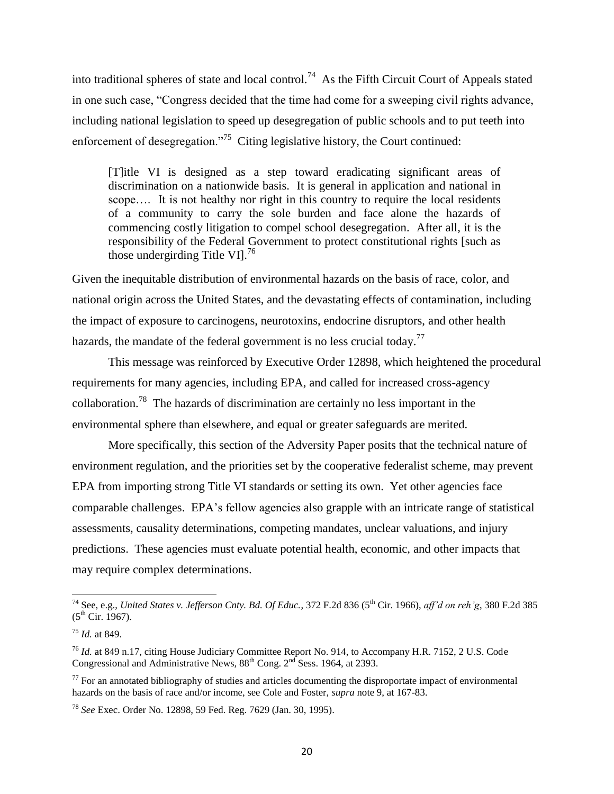into traditional spheres of state and local control.<sup>74</sup> As the Fifth Circuit Court of Appeals stated in one such case, "Congress decided that the time had come for a sweeping civil rights advance, including national legislation to speed up desegregation of public schools and to put teeth into enforcement of desegregation."<sup>75</sup> Citing legislative history, the Court continued:

[T]itle VI is designed as a step toward eradicating significant areas of discrimination on a nationwide basis. It is general in application and national in scope.... It is not healthy nor right in this country to require the local residents of a community to carry the sole burden and face alone the hazards of commencing costly litigation to compel school desegregation. After all, it is the responsibility of the Federal Government to protect constitutional rights [such as those undergirding Title VI $1^{76}$ 

Given the inequitable distribution of environmental hazards on the basis of race, color, and national origin across the United States, and the devastating effects of contamination, including the impact of exposure to carcinogens, neurotoxins, endocrine disruptors, and other health hazards, the mandate of the federal government is no less crucial today.<sup>77</sup>

This message was reinforced by Executive Order 12898, which heightened the procedural requirements for many agencies, including EPA, and called for increased cross-agency collaboration.<sup>78</sup> The hazards of discrimination are certainly no less important in the environmental sphere than elsewhere, and equal or greater safeguards are merited.

More specifically, this section of the Adversity Paper posits that the technical nature of environment regulation, and the priorities set by the cooperative federalist scheme, may prevent EPA from importing strong Title VI standards or setting its own. Yet other agencies face comparable challenges. EPA's fellow agencies also grapple with an intricate range of statistical assessments, causality determinations, competing mandates, unclear valuations, and injury predictions. These agencies must evaluate potential health, economic, and other impacts that may require complex determinations.

 $\overline{a}$ 

<sup>&</sup>lt;sup>74</sup> See, e.g., *United States v. Jefferson Cnty. Bd. Of Educ.*, 372 F.2d 836 (5<sup>th</sup> Cir. 1966), *aff'd on reh'g*, 380 F.2d 385  $(5^{th}$  Cir. 1967).

<sup>75</sup> *Id.* at 849.

<sup>76</sup> *Id.* at 849 n.17, citing House Judiciary Committee Report No. 914, to Accompany H.R. 7152, 2 U.S. Code Congressional and Administrative News,  $88^{th}$  Cong.  $2^{nd}$  Sess. 1964, at 2393.

 $77$  For an annotated bibliography of studies and articles documenting the disproportate impact of environmental hazards on the basis of race and/or income, see Cole and Foster, *supra* note 9, at 167-83.

<sup>78</sup> *See* Exec. Order No. 12898, 59 Fed. Reg. 7629 (Jan. 30, 1995).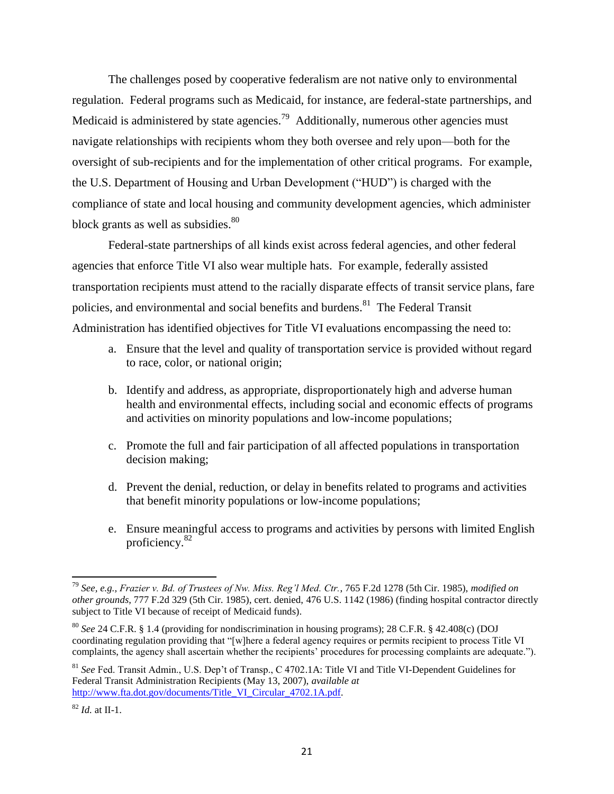The challenges posed by cooperative federalism are not native only to environmental regulation. Federal programs such as Medicaid, for instance, are federal-state partnerships, and Medicaid is administered by state agencies.<sup>79</sup> Additionally, numerous other agencies must navigate relationships with recipients whom they both oversee and rely upon—both for the oversight of sub-recipients and for the implementation of other critical programs. For example, the U.S. Department of Housing and Urban Development ("HUD") is charged with the compliance of state and local housing and community development agencies, which administer block grants as well as subsidies.<sup>80</sup>

Federal-state partnerships of all kinds exist across federal agencies, and other federal agencies that enforce Title VI also wear multiple hats. For example, federally assisted transportation recipients must attend to the racially disparate effects of transit service plans, fare policies, and environmental and social benefits and burdens.<sup>81</sup> The Federal Transit Administration has identified objectives for Title VI evaluations encompassing the need to:

- a. Ensure that the level and quality of transportation service is provided without regard to race, color, or national origin;
- b. Identify and address, as appropriate, disproportionately high and adverse human health and environmental effects, including social and economic effects of programs and activities on minority populations and low-income populations;
- c. Promote the full and fair participation of all affected populations in transportation decision making;
- d. Prevent the denial, reduction, or delay in benefits related to programs and activities that benefit minority populations or low-income populations;
- e. Ensure meaningful access to programs and activities by persons with limited English proficiency.<sup>82</sup>

<sup>79</sup> *See, e.g., Frazier v. Bd. of Trustees of Nw. Miss. Reg'l Med. Ctr.*, 765 F.2d 1278 (5th Cir. 1985), *modified on other grounds*, 777 F.2d 329 (5th Cir. 1985), cert. denied, 476 U.S. 1142 (1986) (finding hospital contractor directly subject to Title VI because of receipt of Medicaid funds).

<sup>80</sup> *See* 24 C.F.R. § 1.4 (providing for nondiscrimination in housing programs); 28 C.F.R. § 42.408(c) (DOJ coordinating regulation providing that "[w]here a federal agency requires or permits recipient to process Title VI complaints, the agency shall ascertain whether the recipients' procedures for processing complaints are adequate.").

<sup>81</sup> *See* Fed. Transit Admin., U.S. Dep't of Transp., C 4702.1A: Title VI and Title VI-Dependent Guidelines for Federal Transit Administration Recipients (May 13, 2007), *available at*  [http://www.fta.dot.gov/documents/Title\\_VI\\_Circular\\_4702.1A.pdf.](http://www.fta.dot.gov/documents/Title_VI_Circular_4702.1A.pdf)

 $^{82}$  *Id.* at II-1.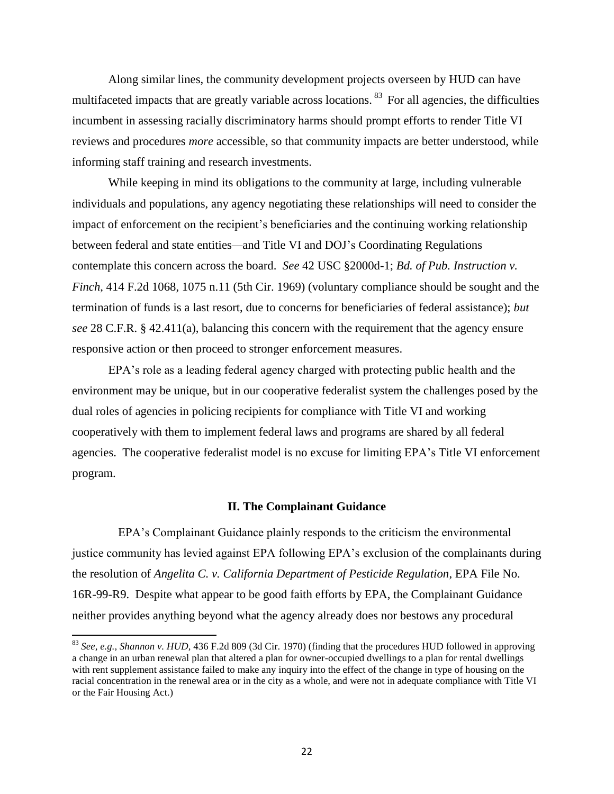Along similar lines, the community development projects overseen by HUD can have multifaceted impacts that are greatly variable across locations.<sup>83</sup> For all agencies, the difficulties incumbent in assessing racially discriminatory harms should prompt efforts to render Title VI reviews and procedures *more* accessible, so that community impacts are better understood, while informing staff training and research investments.

While keeping in mind its obligations to the community at large, including vulnerable individuals and populations, any agency negotiating these relationships will need to consider the impact of enforcement on the recipient's beneficiaries and the continuing working relationship between federal and state entities*—*and Title VI and DOJ's Coordinating Regulations contemplate this concern across the board. *See* 42 USC §2000d-1; *Bd. of Pub. Instruction v. Finch*, 414 F.2d 1068, 1075 n.11 (5th Cir. 1969) (voluntary compliance should be sought and the termination of funds is a last resort, due to concerns for beneficiaries of federal assistance); *but see* 28 C.F.R. § 42.411(a), balancing this concern with the requirement that the agency ensure responsive action or then proceed to stronger enforcement measures.

EPA's role as a leading federal agency charged with protecting public health and the environment may be unique, but in our cooperative federalist system the challenges posed by the dual roles of agencies in policing recipients for compliance with Title VI and working cooperatively with them to implement federal laws and programs are shared by all federal agencies. The cooperative federalist model is no excuse for limiting EPA's Title VI enforcement program.

#### **II. The Complainant Guidance**

EPA's Complainant Guidance plainly responds to the criticism the environmental justice community has levied against EPA following EPA's exclusion of the complainants during the resolution of *Angelita C. v. California Department of Pesticide Regulation*, EPA File No. 16R-99-R9. Despite what appear to be good faith efforts by EPA, the Complainant Guidance neither provides anything beyond what the agency already does nor bestows any procedural

<sup>83</sup> *See, e.g., Shannon v. HUD,* 436 F.2d 809 (3d Cir. 1970) (finding that the procedures HUD followed in approving a change in an urban renewal plan that altered a plan for owner-occupied dwellings to a plan for rental dwellings with rent supplement assistance failed to make any inquiry into the effect of the change in type of housing on the racial concentration in the renewal area or in the city as a whole, and were not in adequate compliance with Title VI or the Fair Housing Act.)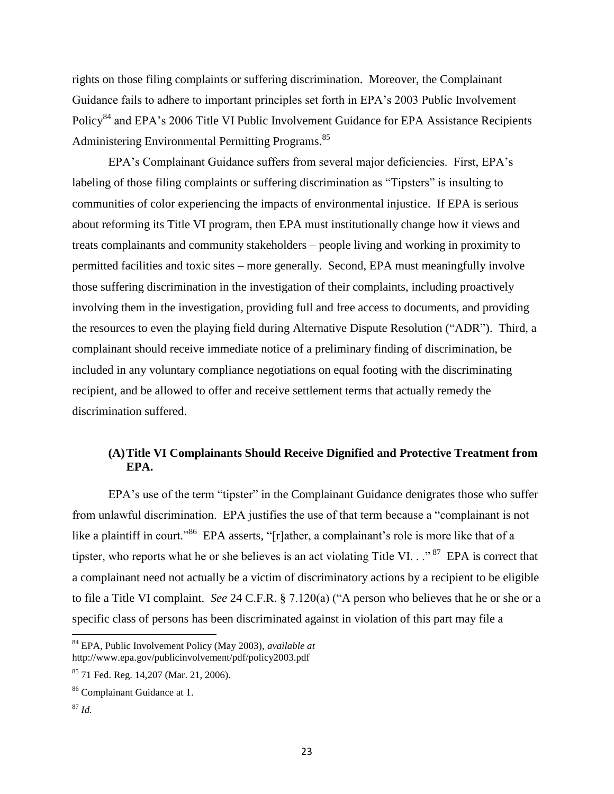rights on those filing complaints or suffering discrimination. Moreover, the Complainant Guidance fails to adhere to important principles set forth in EPA's 2003 Public Involvement Policy<sup>84</sup> and EPA's 2006 Title VI Public Involvement Guidance for EPA Assistance Recipients Administering Environmental Permitting Programs.<sup>85</sup>

EPA's Complainant Guidance suffers from several major deficiencies. First, EPA's labeling of those filing complaints or suffering discrimination as "Tipsters" is insulting to communities of color experiencing the impacts of environmental injustice. If EPA is serious about reforming its Title VI program, then EPA must institutionally change how it views and treats complainants and community stakeholders – people living and working in proximity to permitted facilities and toxic sites – more generally. Second, EPA must meaningfully involve those suffering discrimination in the investigation of their complaints, including proactively involving them in the investigation, providing full and free access to documents, and providing the resources to even the playing field during Alternative Dispute Resolution ("ADR"). Third, a complainant should receive immediate notice of a preliminary finding of discrimination, be included in any voluntary compliance negotiations on equal footing with the discriminating recipient, and be allowed to offer and receive settlement terms that actually remedy the discrimination suffered.

# **(A)Title VI Complainants Should Receive Dignified and Protective Treatment from EPA.**

EPA's use of the term "tipster" in the Complainant Guidance denigrates those who suffer from unlawful discrimination. EPA justifies the use of that term because a "complainant is not like a plaintiff in court."<sup>86</sup> EPA asserts, "[r]ather, a complainant's role is more like that of a tipster, who reports what he or she believes is an act violating Title VI.  $\cdot$ <sup>87</sup> EPA is correct that a complainant need not actually be a victim of discriminatory actions by a recipient to be eligible to file a Title VI complaint. *See* 24 C.F.R. § 7.120(a) ("A person who believes that he or she or a specific class of persons has been discriminated against in violation of this part may file a

 $\overline{a}$ 

<sup>84</sup> EPA, Public Involvement Policy (May 2003), *available at*  http://www.epa.gov/publicinvolvement/pdf/policy2003.pdf

<sup>85</sup> 71 Fed. Reg. 14,207 (Mar. 21, 2006).

<sup>86</sup> Complainant Guidance at 1.

 $^{87}$  *Id.*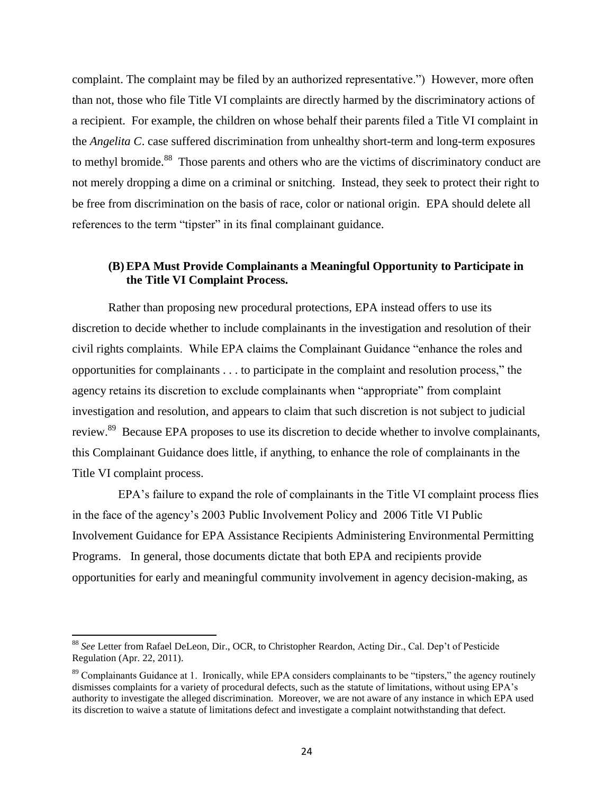complaint. The complaint may be filed by an authorized representative.") However, more often than not, those who file Title VI complaints are directly harmed by the discriminatory actions of a recipient. For example, the children on whose behalf their parents filed a Title VI complaint in the *Angelita C*. case suffered discrimination from unhealthy short-term and long-term exposures to methyl bromide.<sup>88</sup> Those parents and others who are the victims of discriminatory conduct are not merely dropping a dime on a criminal or snitching. Instead, they seek to protect their right to be free from discrimination on the basis of race, color or national origin. EPA should delete all references to the term "tipster" in its final complainant guidance.

# **(B) EPA Must Provide Complainants a Meaningful Opportunity to Participate in the Title VI Complaint Process.**

Rather than proposing new procedural protections, EPA instead offers to use its discretion to decide whether to include complainants in the investigation and resolution of their civil rights complaints. While EPA claims the Complainant Guidance "enhance the roles and opportunities for complainants  $\dots$  to participate in the complaint and resolution process," the agency retains its discretion to exclude complainants when "appropriate" from complaint investigation and resolution, and appears to claim that such discretion is not subject to judicial review.<sup>89</sup> Because EPA proposes to use its discretion to decide whether to involve complainants, this Complainant Guidance does little, if anything, to enhance the role of complainants in the Title VI complaint process.

EPA's failure to expand the role of complainants in the Title VI complaint process flies in the face of the agency's 2003 Public Involvement Policy and 2006 Title VI Public Involvement Guidance for EPA Assistance Recipients Administering Environmental Permitting Programs. In general, those documents dictate that both EPA and recipients provide opportunities for early and meaningful community involvement in agency decision-making, as

<sup>88</sup> *See* Letter from Rafael DeLeon, Dir., OCR, to Christopher Reardon, Acting Dir., Cal. Dep't of Pesticide Regulation (Apr. 22, 2011).

 $89$  Complainants Guidance at 1. Ironically, while EPA considers complainants to be "tipsters," the agency routinely dismisses complaints for a variety of procedural defects, such as the statute of limitations, without using EPA's authority to investigate the alleged discrimination. Moreover, we are not aware of any instance in which EPA used its discretion to waive a statute of limitations defect and investigate a complaint notwithstanding that defect.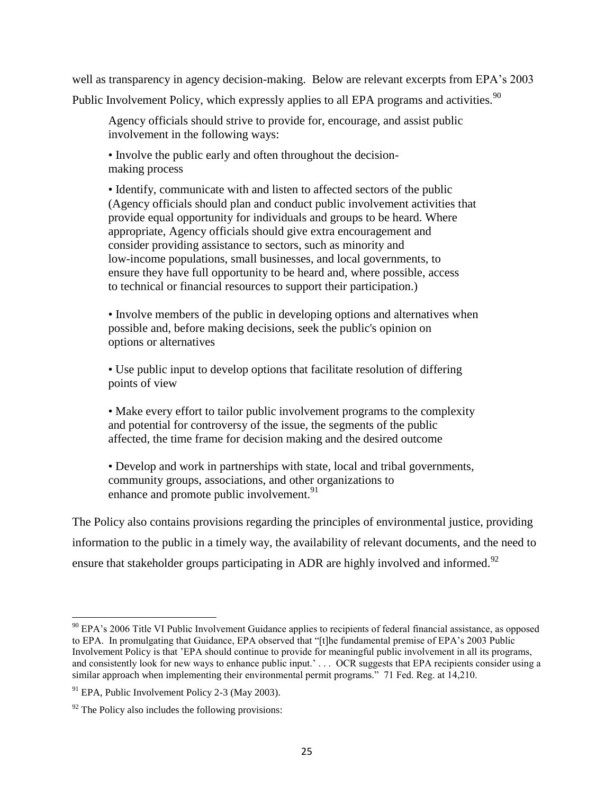well as transparency in agency decision-making. Below are relevant excerpts from EPA's 2003 Public Involvement Policy, which expressly applies to all EPA programs and activities.<sup>90</sup>

Agency officials should strive to provide for, encourage, and assist public involvement in the following ways:

• Involve the public early and often throughout the decisionmaking process

• Identify, communicate with and listen to affected sectors of the public (Agency officials should plan and conduct public involvement activities that provide equal opportunity for individuals and groups to be heard. Where appropriate, Agency officials should give extra encouragement and consider providing assistance to sectors, such as minority and low-income populations, small businesses, and local governments, to ensure they have full opportunity to be heard and, where possible, access to technical or financial resources to support their participation.)

• Involve members of the public in developing options and alternatives when possible and, before making decisions, seek the public's opinion on options or alternatives

• Use public input to develop options that facilitate resolution of differing points of view

• Make every effort to tailor public involvement programs to the complexity and potential for controversy of the issue, the segments of the public affected, the time frame for decision making and the desired outcome

• Develop and work in partnerships with state, local and tribal governments, community groups, associations, and other organizations to enhance and promote public involvement. $91$ 

The Policy also contains provisions regarding the principles of environmental justice, providing information to the public in a timely way, the availability of relevant documents, and the need to ensure that stakeholder groups participating in ADR are highly involved and informed.<sup>92</sup>

<sup>&</sup>lt;sup>90</sup> EPA's 2006 Title VI Public Involvement Guidance applies to recipients of federal financial assistance, as opposed to EPA. In promulgating that Guidance, EPA observed that "[t]he fundamental premise of EPA's 2003 Public Involvement Policy is that 'EPA should continue to provide for meaningful public involvement in all its programs, and consistently look for new ways to enhance public input.'... OCR suggests that EPA recipients consider using a similar approach when implementing their environmental permit programs." 71 Fed. Reg. at 14,210.

 $91$  EPA, Public Involvement Policy 2-3 (May 2003).

 $92$  The Policy also includes the following provisions: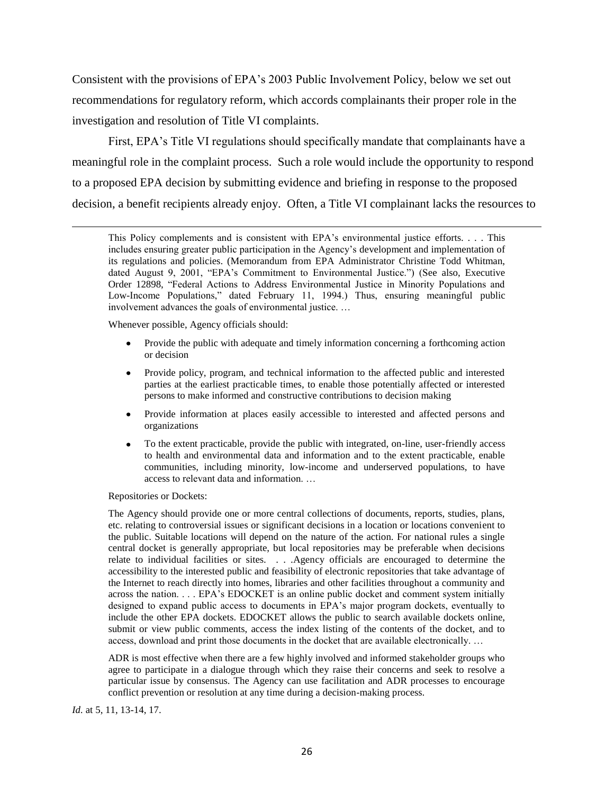Consistent with the provisions of EPA's 2003 Public Involvement Policy, below we set out recommendations for regulatory reform, which accords complainants their proper role in the investigation and resolution of Title VI complaints.

First, EPA's Title VI regulations should specifically mandate that complainants have a meaningful role in the complaint process. Such a role would include the opportunity to respond to a proposed EPA decision by submitting evidence and briefing in response to the proposed decision, a benefit recipients already enjoy. Often, a Title VI complainant lacks the resources to

Whenever possible, Agency officials should:

- $\bullet$ Provide the public with adequate and timely information concerning a forthcoming action or decision
- $\bullet$ Provide policy, program, and technical information to the affected public and interested parties at the earliest practicable times, to enable those potentially affected or interested persons to make informed and constructive contributions to decision making
- Provide information at places easily accessible to interested and affected persons and  $\bullet$ organizations
- To the extent practicable, provide the public with integrated, on-line, user-friendly access  $\bullet$ to health and environmental data and information and to the extent practicable, enable communities, including minority, low-income and underserved populations, to have access to relevant data and information. …

Repositories or Dockets:

 $\overline{a}$ 

The Agency should provide one or more central collections of documents, reports, studies, plans, etc. relating to controversial issues or significant decisions in a location or locations convenient to the public. Suitable locations will depend on the nature of the action. For national rules a single central docket is generally appropriate, but local repositories may be preferable when decisions relate to individual facilities or sites. . . .Agency officials are encouraged to determine the accessibility to the interested public and feasibility of electronic repositories that take advantage of the Internet to reach directly into homes, libraries and other facilities throughout a community and across the nation. . . . EPA's EDOCKET is an online public docket and comment system initially designed to expand public access to documents in EPA's major program dockets, eventually to include the other EPA dockets. EDOCKET allows the public to search available dockets online, submit or view public comments, access the index listing of the contents of the docket, and to access, download and print those documents in the docket that are available electronically. …

ADR is most effective when there are a few highly involved and informed stakeholder groups who agree to participate in a dialogue through which they raise their concerns and seek to resolve a particular issue by consensus. The Agency can use facilitation and ADR processes to encourage conflict prevention or resolution at any time during a decision-making process.

*Id.* at 5, 11, 13-14, 17.

This Policy complements and is consistent with EPA's environmental justice efforts. . . . This includes ensuring greater public participation in the Agency's development and implementation of its regulations and policies. (Memorandum from EPA Administrator Christine Todd Whitman, dated August 9, 2001, "EPA's Commitment to Environmental Justice.") (See also, Executive Order 12898, "Federal Actions to Address Environmental Justice in Minority Populations and Low-Income Populations," dated February 11, 1994.) Thus, ensuring meaningful public involvement advances the goals of environmental justice. …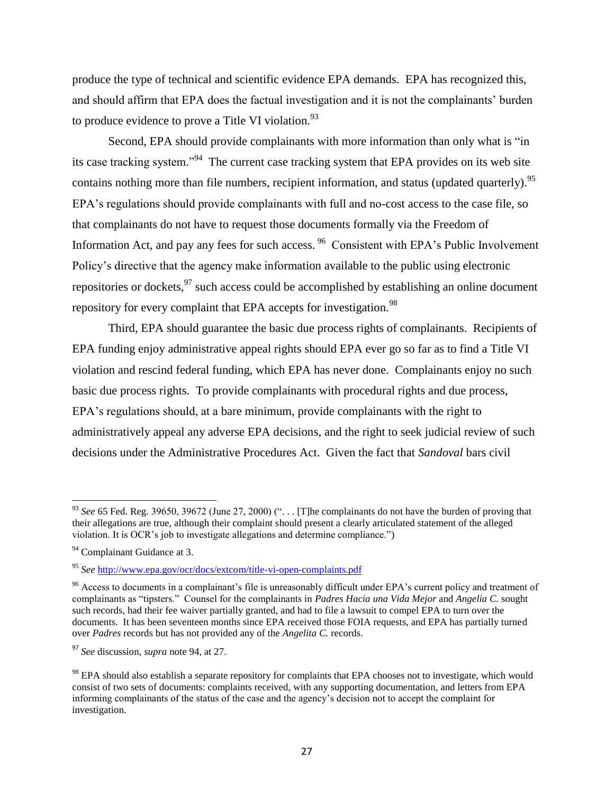produce the type of technical and scientific evidence EPA demands. EPA has recognized this, and should affirm that EPA does the factual investigation and it is not the complainants' burden to produce evidence to prove a Title VI violation. $^{93}$ 

Second, EPA should provide complainants with more information than only what is "in its case tracking system."<sup>94</sup> The current case tracking system that EPA provides on its web site contains nothing more than file numbers, recipient information, and status (updated quarterly).<sup>95</sup> EPA's regulations should provide complainants with full and no-cost access to the case file, so that complainants do not have to request those documents formally via the Freedom of Information Act, and pay any fees for such access. <sup>96</sup> Consistent with EPA's Public Involvement Policy's directive that the agency make information available to the public using electronic repositories or dockets, <sup>97</sup> such access could be accomplished by establishing an online document repository for every complaint that EPA accepts for investigation.<sup>98</sup>

Third, EPA should guarantee the basic due process rights of complainants. Recipients of EPA funding enjoy administrative appeal rights should EPA ever go so far as to find a Title VI violation and rescind federal funding, which EPA has never done. Complainants enjoy no such basic due process rights. To provide complainants with procedural rights and due process, EPA's regulations should, at a bare minimum, provide complainants with the right to administratively appeal any adverse EPA decisions, and the right to seek judicial review of such decisions under the Administrative Procedures Act. Given the fact that *Sandoval* bars civil

<sup>&</sup>lt;sup>93</sup> *See* 65 Fed. Reg. 39650, 39672 (June 27, 2000) ("... [T]he complainants do not have the burden of proving that their allegations are true, although their complaint should present a clearly articulated statement of the alleged violation. It is OCR's job to investigate allegations and determine compliance.")

<sup>&</sup>lt;sup>94</sup> Complainant Guidance at 3.

<sup>95</sup> *See* <http://www.epa.gov/ocr/docs/extcom/title-vi-open-complaints.pdf>

 $96$  Access to documents in a complainant's file is unreasonably difficult under EPA's current policy and treatment of complainants as "tipsters." Counsel for the complainants in *Padres Hacia una Vida Mejor* and *Angelia C.* sought such records, had their fee waiver partially granted, and had to file a lawsuit to compel EPA to turn over the documents. It has been seventeen months since EPA received those FOIA requests, and EPA has partially turned over *Padres* records but has not provided any of the *Angelita C.* records.

<sup>97</sup> *See* discussion, *supra* note 94, at 27.

<sup>&</sup>lt;sup>98</sup> EPA should also establish a separate repository for complaints that EPA chooses not to investigate, which would consist of two sets of documents: complaints received, with any supporting documentation, and letters from EPA informing complainants of the status of the case and the agency's decision not to accept the complaint for investigation.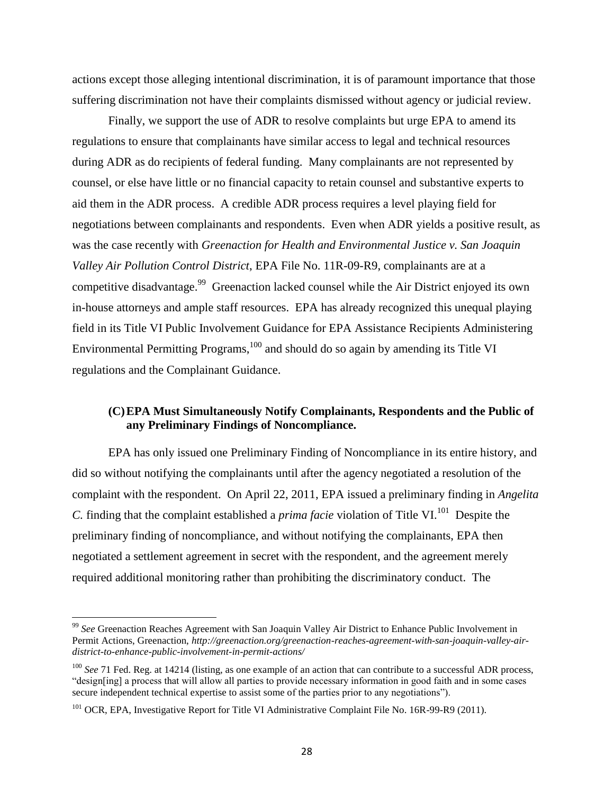actions except those alleging intentional discrimination, it is of paramount importance that those suffering discrimination not have their complaints dismissed without agency or judicial review.

Finally, we support the use of ADR to resolve complaints but urge EPA to amend its regulations to ensure that complainants have similar access to legal and technical resources during ADR as do recipients of federal funding. Many complainants are not represented by counsel, or else have little or no financial capacity to retain counsel and substantive experts to aid them in the ADR process. A credible ADR process requires a level playing field for negotiations between complainants and respondents. Even when ADR yields a positive result, as was the case recently with *Greenaction for Health and Environmental Justice v. San Joaquin Valley Air Pollution Control District*, EPA File No. 11R-09-R9, complainants are at a competitive disadvantage.<sup>99</sup> Greenaction lacked counsel while the Air District enjoyed its own in-house attorneys and ample staff resources. EPA has already recognized this unequal playing field in its Title VI Public Involvement Guidance for EPA Assistance Recipients Administering Environmental Permitting Programs, $100$  and should do so again by amending its Title VI regulations and the Complainant Guidance.

### **(C)EPA Must Simultaneously Notify Complainants, Respondents and the Public of any Preliminary Findings of Noncompliance.**

EPA has only issued one Preliminary Finding of Noncompliance in its entire history, and did so without notifying the complainants until after the agency negotiated a resolution of the complaint with the respondent. On April 22, 2011, EPA issued a preliminary finding in *Angelita C.* finding that the complaint established a *prima facie* violation of Title VI.<sup>101</sup> Despite the preliminary finding of noncompliance, and without notifying the complainants, EPA then negotiated a settlement agreement in secret with the respondent, and the agreement merely required additional monitoring rather than prohibiting the discriminatory conduct. The

<sup>&</sup>lt;sup>99</sup> See Greenaction Reaches Agreement with San Joaquin Valley Air District to Enhance Public Involvement in Permit Actions, Greenaction, *http://greenaction.org/greenaction-reaches-agreement-with-san-joaquin-valley-airdistrict-to-enhance-public-involvement-in-permit-actions/*

<sup>&</sup>lt;sup>100</sup> *See* 71 Fed. Reg. at 14214 (listing, as one example of an action that can contribute to a successful ADR process, "design[ing] a process that will allow all parties to provide necessary information in good faith and in some cases secure independent technical expertise to assist some of the parties prior to any negotiations").

<sup>&</sup>lt;sup>101</sup> OCR, EPA, Investigative Report for Title VI Administrative Complaint File No. 16R-99-R9 (2011).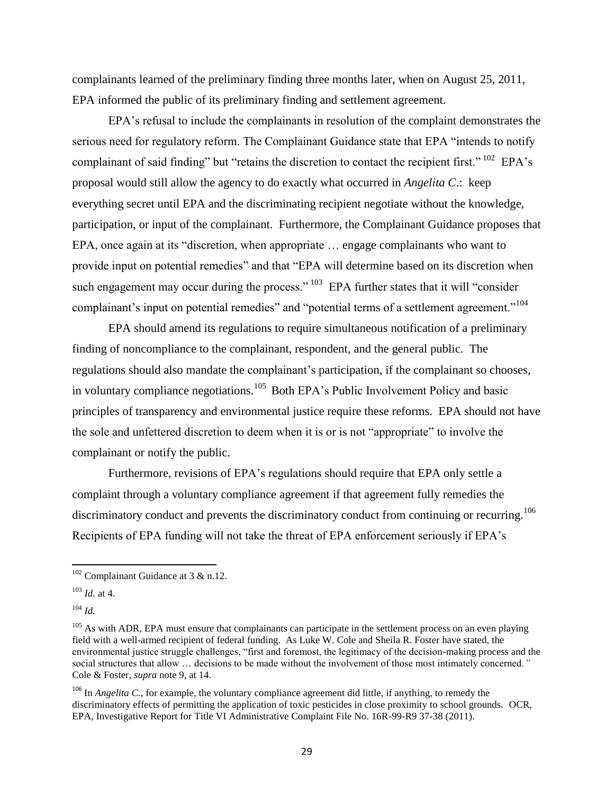complainants learned of the preliminary finding three months later, when on August 25, 2011, EPA informed the public of its preliminary finding and settlement agreement.

EPA's refusal to include the complainants in resolution of the complaint demonstrates the serious need for regulatory reform. The Complainant Guidance state that EPA "intends to notify complainant of said finding" but "retains the discretion to contact the recipient first."  $^{102}$  EPA's proposal would still allow the agency to do exactly what occurred in *Angelita C*.: keep everything secret until EPA and the discriminating recipient negotiate without the knowledge, participation, or input of the complainant. Furthermore, the Complainant Guidance proposes that EPA, once again at its "discretion, when appropriate ... engage complainants who want to provide input on potential remedies" and that "EPA will determine based on its discretion when such engagement may occur during the process."  $103$  EPA further states that it will "consider complainant's input on potential remedies" and "potential terms of a settlement agreement."<sup>104</sup>

EPA should amend its regulations to require simultaneous notification of a preliminary finding of noncompliance to the complainant, respondent, and the general public. The regulations should also mandate the complainant's participation, if the complainant so chooses, in voluntary compliance negotiations.<sup>105</sup> Both EPA's Public Involvement Policy and basic principles of transparency and environmental justice require these reforms. EPA should not have the sole and unfettered discretion to deem when it is or is not "appropriate" to involve the complainant or notify the public.

Furthermore, revisions of EPA's regulations should require that EPA only settle a complaint through a voluntary compliance agreement if that agreement fully remedies the discriminatory conduct and prevents the discriminatory conduct from continuing or recurring.<sup>106</sup> Recipients of EPA funding will not take the threat of EPA enforcement seriously if EPA's

 $\overline{a}$ 

 $102$  Complainant Guidance at 3 & n.12.

<sup>103</sup> *Id.* at 4.

 $104$  *Id.* 

 $105$  As with ADR, EPA must ensure that complainants can participate in the settlement process on an even playing field with a well-armed recipient of federal funding. As Luke W. Cole and Sheila R. Foster have stated, the environmental justice struggle challenges, "first and foremost, the legitimacy of the decision-making process and the social structures that allow … decisions to be made without the involvement of those most intimately concerned*."*  Cole & Foster, *supra* note 9, at 14.

<sup>&</sup>lt;sup>106</sup> In *Angelita C*., for example, the voluntary compliance agreement did little, if anything, to remedy the discriminatory effects of permitting the application of toxic pesticides in close proximity to school grounds. OCR, EPA, Investigative Report for Title VI Administrative Complaint File No. 16R-99-R9 37-38 (2011).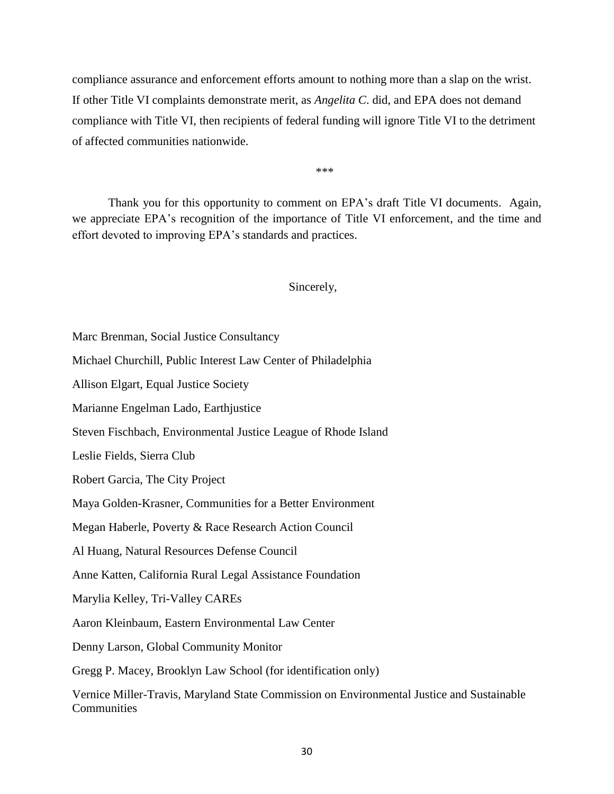compliance assurance and enforcement efforts amount to nothing more than a slap on the wrist. If other Title VI complaints demonstrate merit, as *Angelita C*. did, and EPA does not demand compliance with Title VI, then recipients of federal funding will ignore Title VI to the detriment of affected communities nationwide.

\*\*\*

Thank you for this opportunity to comment on EPA's draft Title VI documents. Again, we appreciate EPA's recognition of the importance of Title VI enforcement, and the time and effort devoted to improving EPA's standards and practices.

### Sincerely,

Marc Brenman, Social Justice Consultancy

Michael Churchill, Public Interest Law Center of Philadelphia

Allison Elgart, Equal Justice Society

Marianne Engelman Lado, Earthjustice

Steven Fischbach, Environmental Justice League of Rhode Island

Leslie Fields, Sierra Club

Robert Garcia, The City Project

Maya Golden-Krasner, Communities for a Better Environment

Megan Haberle, Poverty & Race Research Action Council

Al Huang, Natural Resources Defense Council

Anne Katten, California Rural Legal Assistance Foundation

Marylia Kelley, Tri-Valley CAREs

Aaron Kleinbaum, Eastern Environmental Law Center

Denny Larson, Global Community Monitor

Gregg P. Macey, Brooklyn Law School (for identification only)

Vernice Miller-Travis, Maryland State Commission on Environmental Justice and Sustainable **Communities**